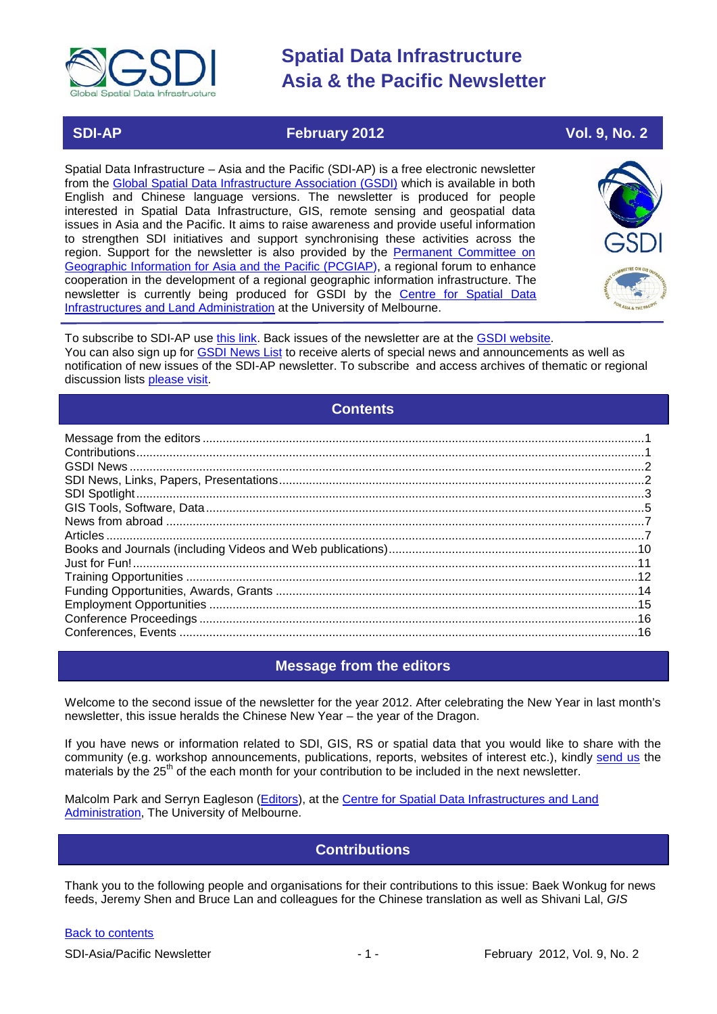

### **SDI-AP February 2012 Vol. 9, No. 2**

Spatial Data Infrastructure – Asia and the Pacific (SDI-AP) is a free electronic newsletter from the [Global Spatial Data Infrastructure Association \(GSDI\)](http://www.gsdi.org/) which is available in both English and Chinese language versions. The newsletter is produced for people interested in Spatial Data Infrastructure, GIS, remote sensing and geospatial data issues in Asia and the Pacific. It aims to raise awareness and provide useful information to strengthen SDI initiatives and support synchronising these activities across the region. Support for the newsletter is also provided by the Permanent Committee on [Geographic Information for Asia and the Pacific \(PCGIAP\)](http://www.pcgiap.org/), a regional forum to enhance cooperation in the development of a regional geographic information infrastructure. The newsletter is currently being produced for GSDI by the [Centre for Spatial Data](http://www.csdila.unimelb.edu.au/)  [Infrastructures and Land Administration](http://www.csdila.unimelb.edu.au/) at the University of Melbourne.



To subscribe to SDI-AP use [this link.](http://www.gsdi.org/newslist/gsdisubscribe.asp) Back issues of the newsletter are at the [GSDI website.](http://www.gsdi.org/newsletters.asp) You can also sign up for **GSDI News List** to receive alerts of special news and announcements as well as notification of new issues of the SDI-AP newsletter. To subscribe and access archives of thematic or regional discussion lists [please visit.](http://www.gsdi.org/discussionlists.asp)

### **Contents**

<span id="page-0-0"></span>

### **Message from the editors**

<span id="page-0-1"></span>Welcome to the second issue of the newsletter for the year 2012. After celebrating the New Year in last month's newsletter, this issue heralds the Chinese New Year – the year of the Dragon.

If you have news or information related to SDI, GIS, RS or spatial data that you would like to share with the community (e.g. workshop announcements, publications, reports, websites of interest etc.), kindly [send us](mailto:.SDI-AP@gsdi.org) the materials by the 25<sup>th</sup> of the each month for your contribution to be included in the next newsletter.

<span id="page-0-2"></span>Malcolm Park and Serryn Eagleson [\(Editors\)](mailto:Editor.SDIAP@gmail.com), at the Centre for Spatial Data Infrastructures and Land [Administration,](http://www.csdila.unimelb.edu.au/) The University of Melbourne.

### **Contributions**

Thank you to the following people and organisations for their contributions to this issue: Baek Wonkug for news feeds, Jeremy Shen and Bruce Lan and colleagues for the Chinese translation as well as Shivani Lal, *GIS*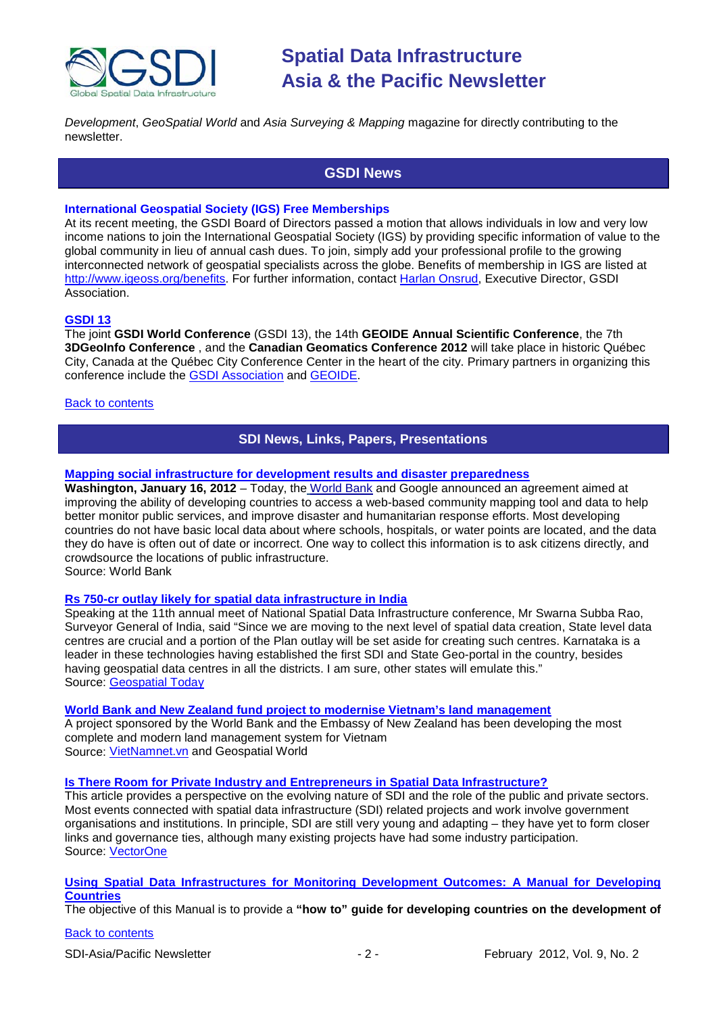

<span id="page-1-0"></span>*Development*, *GeoSpatial World* and *Asia Surveying & Mapping* magazine for directly contributing to the newsletter.

### **GSDI News**

#### **International Geospatial Society (IGS) Free Memberships**

At its recent meeting, the GSDI Board of Directors passed a motion that allows individuals in low and very low income nations to join the International Geospatial Society (IGS) by providing specific information of value to the global community in lieu of annual cash dues. To join, simply add your professional profile to the growing interconnected network of geospatial specialists across the globe. Benefits of membership in IGS are listed at [http://www.igeoss.org/benefits.](https://owa.unimelb.edu.au/owa/redir.aspx?C=54c2b4d3973d480282dc7c38384f4204&URL=http%3a%2f%2fwww.igeoss.org%2fbenefits) For further information, contact [Harlan Onsrud,](mailto:onsrud@gsdi.org) Executive Director, GSDI Association.

#### **[GSDI 13](http://www.gsdi.org/gsdiconf/gsdi13/)**

The joint **GSDI World Conference** (GSDI 13), the 14th **GEOIDE Annual Scientific Conference**, the 7th **3DGeoInfo Conference** , and the **Canadian Geomatics Conference 2012** will take place in historic Québec City, Canada at the Québec City Conference Center in the heart of the city. Primary partners in organizing this conference include the [GSDI Association](http://www.gsdi.org/) and [GEOIDE.](http://www.geoide.ulaval.ca/)

#### <span id="page-1-1"></span>[Back to contents](#page-0-0)

### **SDI News, Links, Papers, Presentations**

#### **[Mapping social infrastructure for development results and disaster preparedness](http://web.worldbank.org/WBSITE/EXTERNAL/COUNTRIES/AFRICAEXT/SUDANEXTN/0,,contentMDK:22907641~menuPK:375444~pagePK:141137~piPK:141127~theSitePK:375422,00.html)**

**Washington, January 16, 2012** – Today, the [World Bank](http://www.worldbank.org/) and Google announced an agreement aimed at improving the ability of developing countries to access a web-based community mapping tool and data to help better monitor public services, and improve disaster and humanitarian response efforts. Most developing countries do not have basic local data about where schools, hospitals, or water points are located, and the data they do have is often out of date or incorrect. One way to collect this information is to ask citizens directly, and crowdsource the locations of public infrastructure.

Source: World Bank

#### **Rs 750-cr outlay [likely for spatial data infrastructure in India](http://geospatialtoday.com/gst/index.php?option=com_content&view=article&id=2333%3Ars-750-cr-outlay-likely-for-spatial-data-infrastructure-in-india&catid=1%3Alatest-news&Itemid=81)**

Speaking at the 11th annual meet of National Spatial Data Infrastructure conference, Mr Swarna Subba Rao, Surveyor General of India, said "Since we are moving to the next level of spatial data creation, State level data centres are crucial and a portion of the Plan outlay will be set aside for creating such centres. Karnataka is a leader in these technologies having established the first SDI and State Geo-portal in the country, besides having geospatial data centres in all the districts. I am sure, other states will emulate this." Source: [Geospatial Today](http://geospatialtoday.com/gst/index.php?option=com_content&view=article&id=2333%3Ars-750-cr-outlay-likely-for-spatial-data-infrastructure-in-india&catid=1%3Alatest-news&Itemid=81)

#### **[World Bank and New Zealand fund project to](http://geospatialworld.net/index.php?option=com_content&view=article&id=23847:foreign-funded-project-modernises-vietnams-land-management&catid=58:application-lis) modernise Vietnam's land management**

A project sponsored by the World Bank and the Embassy of New Zealand has been developing the most complete and modern land management system for Vietnam Source: [VietNamnet.vn](http://english.vietnamnet.vn/en/society/17378/society-in-brief-5-1.html) and Geospatial World

#### **[Is There Room for Private Industry and Entrepreneurs in Spatial Data Infrastructure?](http://www.vector1media.com/vectorone/?p=9126)**

This article provides a perspective on the evolving nature of SDI and the role of the public and private sectors. Most events connected with spatial data infrastructure (SDI) related projects and work involve government organisations and institutions. In principle, SDI are still very young and adapting – they have yet to form closer links and governance ties, although many existing projects have had some industry participation. Source: [VectorOne](http://www.vector1media.com/vectorone/?p=9126)

#### **[Using Spatial Data Infrastructures for Monitoring Development Outcomes: A Manual for Developing](http://lgosmgb2.nottingham.ac.uk/elogeowiki/index.php/World_Bank_SDI_Report)  [Countries](http://lgosmgb2.nottingham.ac.uk/elogeowiki/index.php/World_Bank_SDI_Report)**

The objective of this Manual is to provide a **"how to" guide for developing countries on the development of**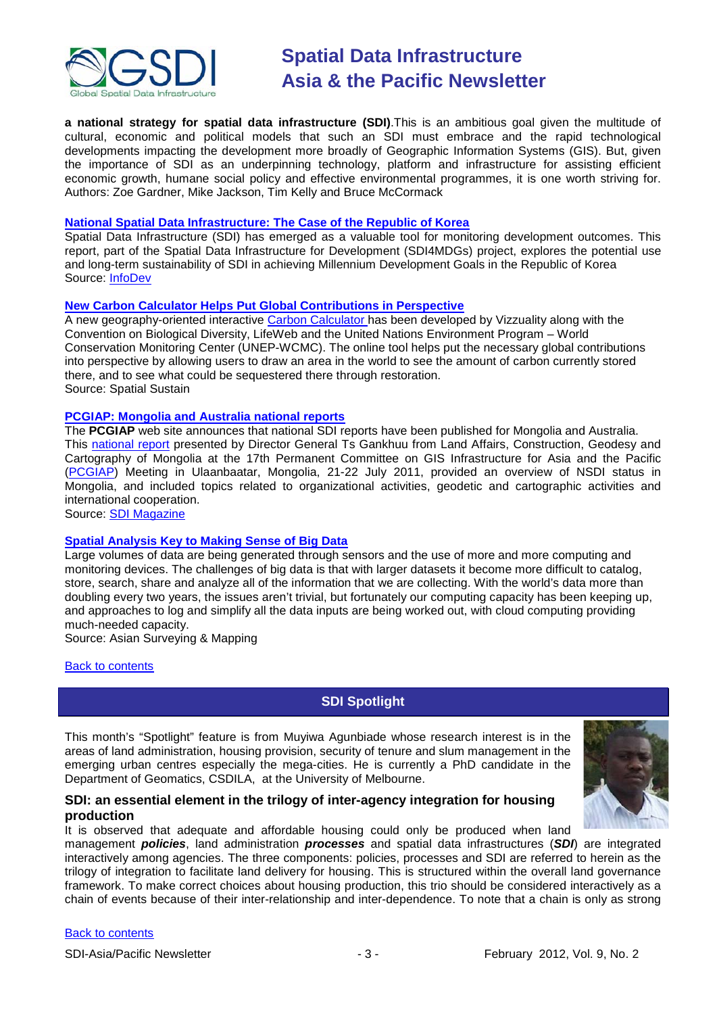

**a national strategy for spatial data infrastructure (SDI)**.This is an ambitious goal given the multitude of cultural, economic and political models that such an SDI must embrace and the rapid technological developments impacting the development more broadly of Geographic Information Systems (GIS). But, given the importance of SDI as an underpinning technology, platform and infrastructure for assisting efficient economic growth, humane social policy and effective environmental programmes, it is one worth striving for. Authors: Zoe Gardner, Mike Jackson, Tim Kelly and Bruce McCormack

#### **[National Spatial Data Infrastructure: The Case of the Republic of Korea](http://www.infodev.org/en/Publication.1110.html)**

Spatial Data Infrastructure (SDI) has emerged as a valuable tool for monitoring development outcomes. This report, part of the Spatial Data Infrastructure for Development (SDI4MDGs) project, explores the potential use and long-term sustainability of SDI in achieving Millennium Development Goals in the Republic of Korea Source: [InfoDev](http://www.infodev.org/en/Publication.1110.html)

#### **[New Carbon Calculator Helps Put Global Contributions in Perspective](http://www.vector1media.com/spatialsustain/new-carbon-calculator-helps-put-global-contributions-in-perspective.html?utm_source=feedburner&utm_medium=feed&utm_campaign=Feed%3A+SpatialSustain+%28Spatial+Sustain%29&utm_content=Google+Reader)**

A new geography-oriented interactive [Carbon Calculator h](http://viz-carbontool.appspot.com/)as been developed by Vizzuality along with the Convention on Biological Diversity, LifeWeb and the United Nations Environment Program – World Conservation Monitoring Center (UNEP-WCMC). The online tool helps put the necessary global contributions into perspective by allowing users to draw an area in the world to see the amount of carbon currently stored there, and to see what could be sequestered there through restoration. Source: Spatial Sustain

#### **[PCGIAP: Mongolia and Australia national reports](http://www.sdimag.com/20120109450/pcgiap-mongolia-and-australia-national-reports.html)**

The **PCGIAP** web site announces that national SDI reports have been published for Mongolia and Australia. This [national report](http://www.pcgiap.org/download?nTempType=1&filename=2011921314955980156.pdf) presented by Director General Ts Gankhuu from Land Affairs, Construction, Geodesy and Cartography of Mongolia at the 17th Permanent Committee on GIS Infrastructure for Asia and the Pacific [\(PCGIAP\)](http://www.pcgiap.org/) Meeting in Ulaanbaatar, Mongolia, 21-22 July 2011, provided an overview of NSDI status in Mongolia, and included topics related to organizational activities, geodetic and cartographic activities and international cooperation.

Source: [SDI Magazine](http://www.sdimag.com/20120109450/pcgiap-mongolia-and-australia-national-reports.html)

#### **[Spatial Analysis Key to Making Sense of Big Data](http://www.asmmag.com/201201203005/spatial-analysis-key-to-making-sense-of-big-data.html)**

Large volumes of data are being generated through sensors and the use of more and more computing and monitoring devices. The challenges of big data is that with larger datasets it become more difficult to catalog, store, search, share and analyze all of the information that we are collecting. With the world's data more than doubling every two years, the issues aren't trivial, but fortunately our computing capacity has been keeping up, and approaches to log and simplify all the data inputs are being worked out, with cloud computing providing much-needed capacity.

Source: Asian Surveying & Mapping

#### <span id="page-2-0"></span>[Back to contents](#page-0-0)

### **SDI Spotlight**

This month's "Spotlight" feature is from Muyiwa Agunbiade whose research interest is in the areas of land administration, housing provision, security of tenure and slum management in the emerging urban centres especially the mega-cities. He is currently a PhD candidate in the Department of Geomatics, CSDILA, at the University of Melbourne.

#### **SDI: an essential element in the trilogy of inter-agency integration for housing production**

It is observed that adequate and affordable housing could only be produced when land management *policies*, land administration *processes* and spatial data infrastructures (*SDI*) are integrated interactively among agencies. The three components: policies, processes and SDI are referred to herein as the trilogy of integration to facilitate land delivery for housing. This is structured within the overall land governance framework. To make correct choices about housing production, this trio should be considered interactively as a chain of events because of their inter-relationship and inter-dependence. To note that a chain is only as strong

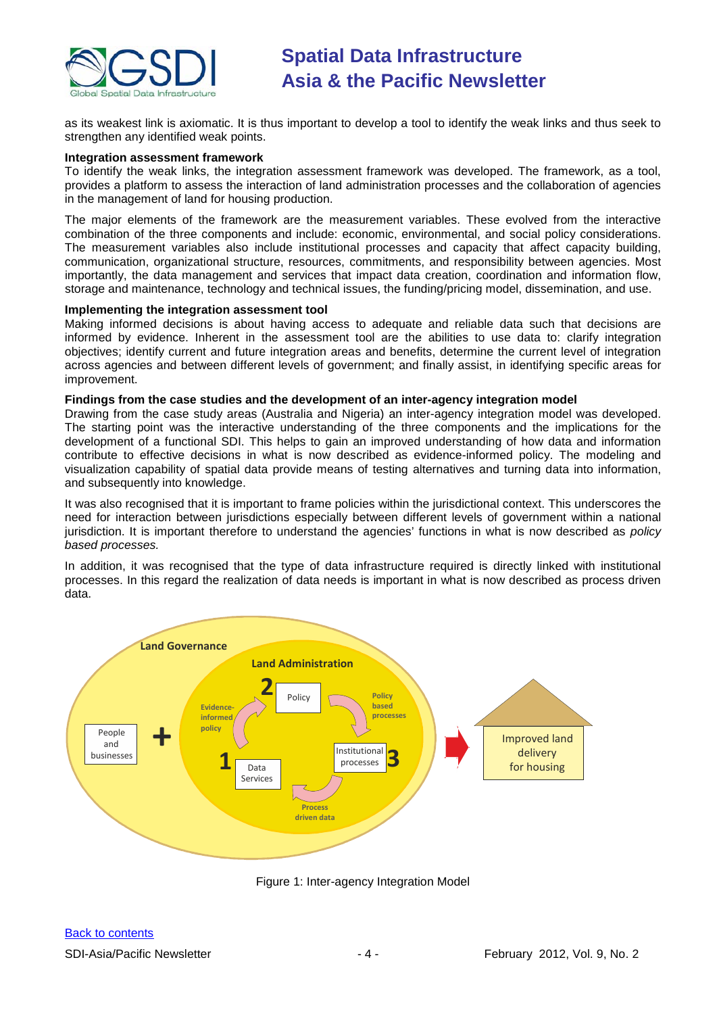

as its weakest link is axiomatic. It is thus important to develop a tool to identify the weak links and thus seek to strengthen any identified weak points.

#### **Integration assessment framework**

To identify the weak links, the integration assessment framework was developed. The framework, as a tool, provides a platform to assess the interaction of land administration processes and the collaboration of agencies in the management of land for housing production.

The major elements of the framework are the measurement variables. These evolved from the interactive combination of the three components and include: economic, environmental, and social policy considerations. The measurement variables also include institutional processes and capacity that affect capacity building, communication, organizational structure, resources, commitments, and responsibility between agencies. Most importantly, the data management and services that impact data creation, coordination and information flow, storage and maintenance, technology and technical issues, the funding/pricing model, dissemination, and use.

#### **Implementing the integration assessment tool**

Making informed decisions is about having access to adequate and reliable data such that decisions are informed by evidence. Inherent in the assessment tool are the abilities to use data to: clarify integration objectives; identify current and future integration areas and benefits, determine the current level of integration across agencies and between different levels of government; and finally assist, in identifying specific areas for improvement.

#### **Findings from the case studies and the development of an inter-agency integration model**

Drawing from the case study areas (Australia and Nigeria) an inter-agency integration model was developed. The starting point was the interactive understanding of the three components and the implications for the development of a functional SDI. This helps to gain an improved understanding of how data and information contribute to effective decisions in what is now described as evidence-informed policy. The modeling and visualization capability of spatial data provide means of testing alternatives and turning data into information, and subsequently into knowledge.

It was also recognised that it is important to frame policies within the jurisdictional context. This underscores the need for interaction between jurisdictions especially between different levels of government within a national jurisdiction. It is important therefore to understand the agencies' functions in what is now described as *policy based processes.*

In addition, it was recognised that the type of data infrastructure required is directly linked with institutional processes. In this regard the realization of data needs is important in what is now described as process driven data.



Figure 1: Inter-agency Integration Model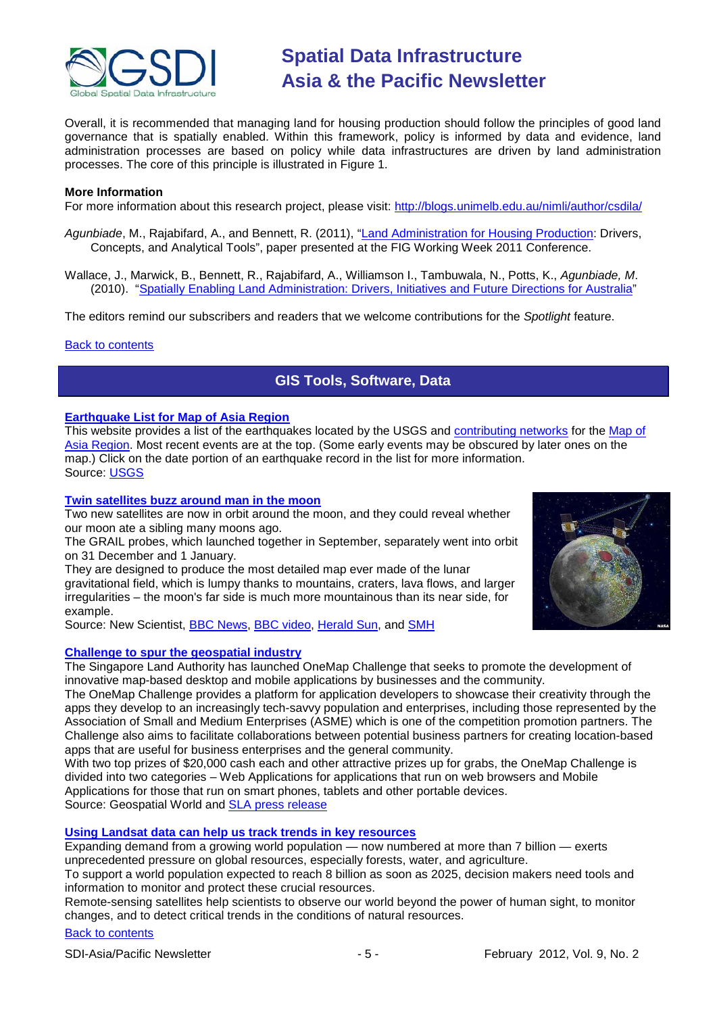

Overall, it is recommended that managing land for housing production should follow the principles of good land governance that is spatially enabled. Within this framework, policy is informed by data and evidence, land administration processes are based on policy while data infrastructures are driven by land administration processes. The core of this principle is illustrated in Figure 1.

#### **More Information**

For more information about this research project, please visit:<http://blogs.unimelb.edu.au/nimli/author/csdila/>

- *Agunbiade*, M., Rajabifard, A., and Bennett, R. (2011), ["Land Administration for Housing Production:](http://csdila.unimelb.edu.au/publication/journals/ts05b_agunbiade_rajabifard_et_al_4809.pdf) Drivers, Concepts, and Analytical Tools", paper presented at the FIG Working Week 2011 Conference.
- Wallace, J., Marwick, B., Bennett, R., Rajabifard, A., Williamson I., Tambuwala, N., Potts, K., *Agunbiade, M*. (2010). ["Spatially Enabling Land Administration: Drivers, Initiatives and Future Directions for Australia"](http://www.csdila.unimelb.edu.au/publication/conferences/GSDI-12/Spatially%20Enabling%20Australia%20Designing%20a%20National%20Infrastructure%20to%20Manage%20Land%20Information.pdf)

The editors remind our subscribers and readers that we welcome contributions for the *Spotlight* feature.

#### <span id="page-4-0"></span>[Back to contents](#page-0-0)

### **GIS Tools, Software, Data**

#### **[Earthquake List for Map of Asia Region](http://earthquake.usgs.gov/earthquakes/recenteqsww/Maps/region/Asia_eqs.php)**

This website provides a list of the earthquakes located by the USGS and [contributing networks](http://earthquake.usgs.gov/eqcenter/aboutmaps.php#datasources) for the Map of [Asia Region.](http://earthquake.usgs.gov/eqcenter/recenteqsww/Maps/region/Asia.php) Most recent events are at the top. (Some early events may be obscured by later ones on the map.) Click on the date portion of an earthquake record in the list for more information. Source: [USGS](http://earthquake.usgs.gov/earthquakes/recenteqsww/Maps/region/Asia_eqs.php)

#### **[Twin satellites buzz around man in the moon](http://www.newscientist.com/article/dn21324-twin-satellites-buzz-around-man-in-the-moon.html)**

Two new satellites are now in orbit around the moon, and they could reveal whether our moon ate a sibling many moons ago.

The GRAIL probes, which [launched together](http://www.newscientist.com/article/dn20898-probes-launch-to-study-moons-interior.html) in September, separately went into orbit on 31 December and 1 January.

They are designed to produce the most detailed map ever made of the lunar gravitational field, which is lumpy thanks to mountains, craters, lava flows, and larger irregularities – the moon's far side is much more mountainous than its near side, for example.

Source: New Scientist, [BBC News,](http://www.bbc.co.uk/news/science-environment-16353839) [BBC video,](http://www.bbc.co.uk/news/science-environment-16374265) [Herald Sun,](http://www.heraldsun.com.au/news/breaking-news/nasa-probe-enters-lunar-orbit/story-e6frf7jx-1226234214761) and [SMH](http://www.smh.com.au/world/spacecraft-orbit-in-the-search-for-moons-holy-grail-20120101-1phhn.html)

#### **[Challenge to spur the geospatial industry](http://geospatialworld.net/index.php?option=com_content&view=article&id=23850:challenge-to-spur-the-geospatial-industry&catid=75:miscellaneous-events)**

The Singapore Land Authority has launched OneMap Challenge that seeks to promote the development of innovative map-based desktop and mobile applications by businesses and the community.

The OneMap Challenge provides a platform for application developers to showcase their creativity through the apps they develop to an increasingly tech-savvy population and enterprises, including those represented by the Association of Small and Medium Enterprises (ASME) which is one of the competition promotion partners. The Challenge also aims to facilitate collaborations between potential business partners for creating location-based apps that are useful for business enterprises and the general community.

With two top prizes of \$20,000 cash each and other attractive prizes up for grabs, the OneMap Challenge is divided into two categories – Web Applications for applications that run on web browsers and Mobile Applications for those that run on smart phones, tablets and other portable devices.

Source: Geospatial World and [SLA press release](http://www.sla.gov.sg/htm/new/new2012/new0401.htm)

#### **[Using Landsat data can help us track trends in key resources](http://www.gisuser.com/content/view/25464/28/)**

Expanding demand from a growing world population — now numbered at more than 7 billion — exerts unprecedented pressure on global resources, especially forests, water, and agriculture.

To support a world population expected to reach 8 billion as soon as 2025, decision makers need tools and information to monitor and protect these crucial resources.

Remote-sensing satellites help scientists to observe our world beyond the power of human sight, to monitor changes, and to detect critical trends in the conditions of natural resources.

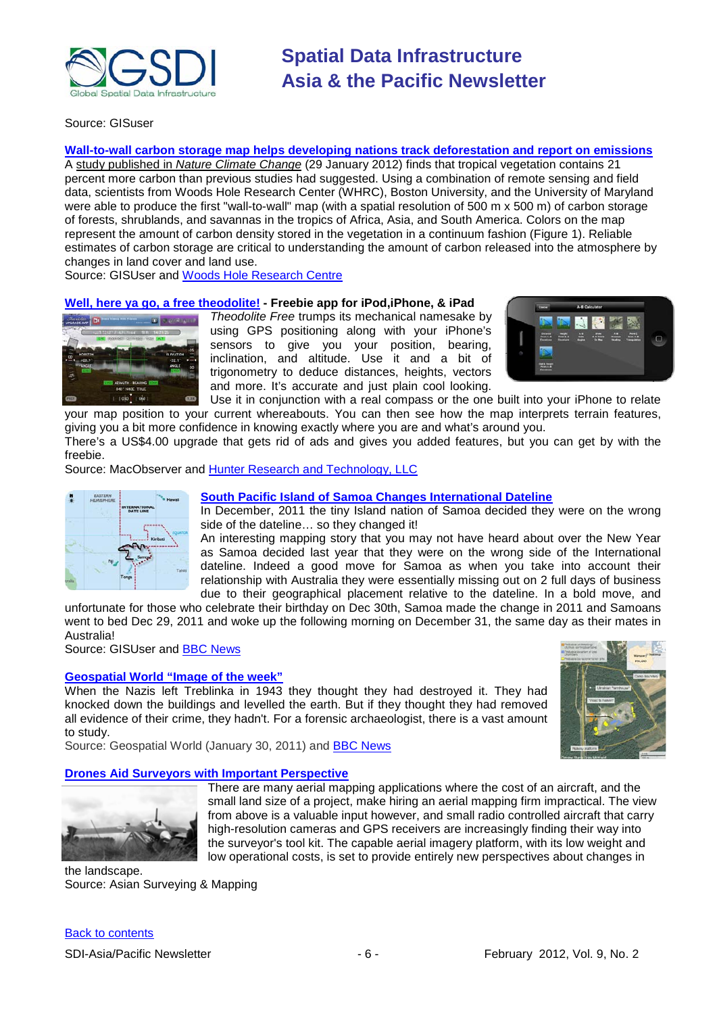

Source: GISuser

**[Wall-to-wall carbon storage map helps developing nations track deforestation and report on emissions](http://www.gisuser.com/content/view/25699/2/)** A study published in *[Nature Climate Change](http://eorder.sheridan.com/3_0/display/index.php?flashprint=1608)* (29 January 2012) finds that tropical vegetation contains 21 percent more carbon than previous studies had suggested. Using a combination of remote sensing and field data, scientists from Woods Hole Research Center (WHRC), Boston University, and the University of Maryland were able to produce the first "wall-to-wall" map (with a spatial resolution of 500 m x 500 m) of carbon storage of forests, shrublands, and savannas in the tropics of Africa, Asia, and South America. Colors on the map represent the amount of carbon density stored in the vegetation in a continuum fashion (Figure 1). Reliable estimates of carbon storage are critical to understanding the amount of carbon released into the atmosphere by changes in land cover and land use.

Source: GISUser and [Woods Hole Research Centre](http://www.whrc.org/mapping/pantropical/carbon_dataset.html)

#### **[Well, here ya go, a free theodolite!](http://www.macobserver.com/tmo/article/3_ios_freebies_for_the_armchair_adventurer/) - Freebie app for iPod,iPhone, & iPad**



*Theodolite Free* trumps its mechanical namesake by using GPS positioning along with your iPhone's sensors to give you your position, bearing, inclination, and altitude. Use it and a bit of trigonometry to deduce distances, heights, vectors and more. It's accurate and just plain cool looking.



Use it in conjunction with a real compass or the one built into your iPhone to relate your map position to your current whereabouts. You can then see how the map interprets terrain features, giving you a bit more confidence in knowing exactly where you are and what's around you.

There's a US\$4.00 upgrade that gets rid of ads and gives you added features, but you can get by with the freebie.

Source: MacObserver and [Hunter Research and Technology, LLC](http://hunter.pairsite.com/theodolite/)



#### **[South Pacific Island of Samoa Changes International Dateline](http://www.gisuser.com/content/view/25677/2/)**

In December, 2011 the tiny Island nation of Samoa decided they were on the wrong side of the dateline… so they changed it!

An interesting mapping story that you may not have heard about over the New Year as Samoa decided last year that they were on the wrong side of the International dateline. Indeed a good move for Samoa as when you take into account their relationship with Australia they were essentially missing out on 2 full days of business due to their geographical placement relative to the dateline. In a bold move, and

unfortunate for those who celebrate their birthday on Dec 30th, Samoa made the change in 2011 and Samoans went to bed Dec 29, 2011 and woke up the following morning on December 31, the same day as their mates in Australia!

Source: GISUser and [BBC News](http://www.bbc.co.uk/news/world-asia-16351377)

#### **[Geospatial World "Image of the week"](http://geospatialworld.net/index.php?option=com_imageoftheweek&view=managetemplate&id=71&Itemid=139&year=2011)**

When the Nazis left Treblinka in 1943 they thought they had destroyed it. They had knocked down the buildings and levelled the earth. But if they thought they had removed all evidence of their crime, they hadn't. For a forensic archaeologist, there is a vast amount to study.





Source: Geospatial World (January 30, 2011) and [BBC News](http://www.bbc.co.uk/news/magazine-16657363)

#### **[Drones Aid Surveyors with Important Perspective](http://www.asmmag.com/201201263033/drones-aid-surveyors-with-important-perspective.html)**



There are many aerial mapping applications where the cost of an aircraft, and the small land size of a project, make hiring an aerial mapping firm impractical. The view from above is a valuable input however, and small radio controlled aircraft that carry high-resolution cameras and GPS receivers are increasingly finding their way into the surveyor's tool kit. The capable aerial imagery platform, with its low weight and low operational costs, is set to provide entirely new perspectives about changes in

the landscape. Source: Asian Surveying & Mapping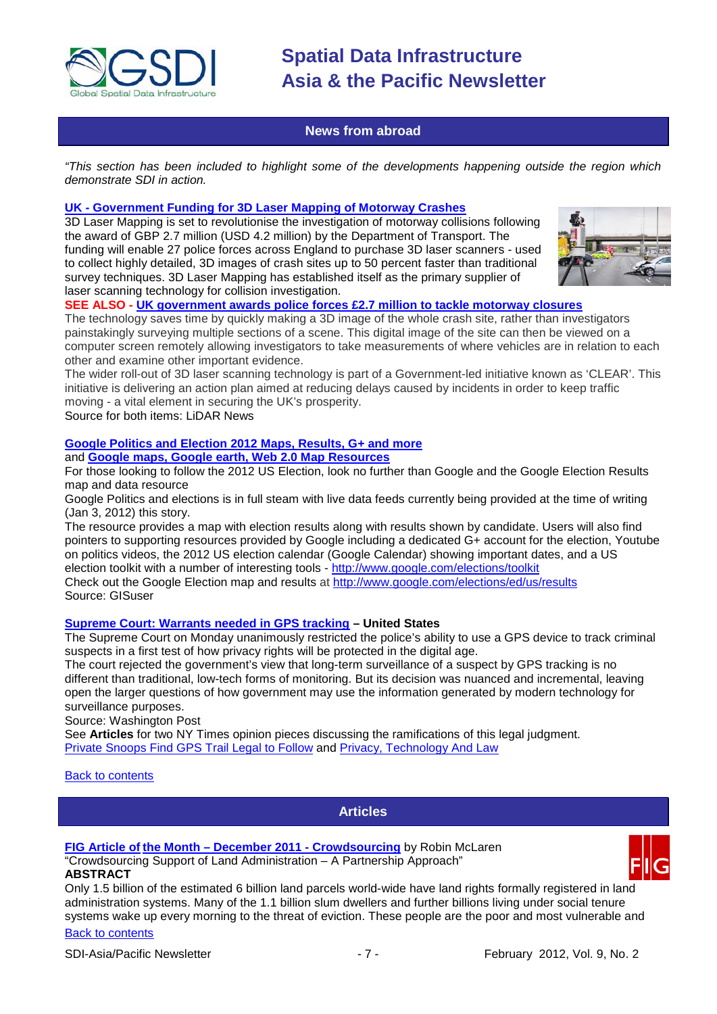

#### **News from abroad**

<span id="page-6-0"></span>*"This section has been included to highlight some of the developments happening outside the region which demonstrate SDI in action.*

#### **UK - [Government Funding for 3D Laser Mapping of Motorway Crashes](http://www.lidarnews.com/content/view/8740/)**

3D Laser Mapping is set to revolutionise the investigation of motorway collisions following the award of GBP 2.7 million (USD 4.2 million) by the Department of Transport. The funding will enable 27 police forces across England to purchase 3D laser scanners - used to collect highly detailed, 3D images of crash sites up to 50 percent faster than traditional survey techniques. 3D Laser Mapping has established itself as the primary supplier of laser scanning technology for collision investigation.



#### **SEE ALSO - [UK government awards police forces £2.7 million to tackle motorway closures](http://www.lidarnews.com/content/view/8734/)**

The technology saves time by quickly making a 3D image of the whole crash site, rather than investigators painstakingly surveying multiple sections of a scene. This digital image of the site can then be viewed on a computer screen remotely allowing investigators to take measurements of where vehicles are in relation to each other and examine other important evidence.

The wider roll-out of 3D laser scanning technology is part of a Government-led initiative known as 'CLEAR'. This initiative is delivering an action plan aimed at reducing delays caused by incidents in order to keep traffic moving - a vital element in securing the UK's prosperity.

Source for both items: LiDAR News

## **[Google Politics and Election 2012 Maps, Results, G+ and more](http://www.gisuser.com/content/view/25478/2/)**

and **[Google maps, Google earth, Web 2.0 Map Resources](http://www.gisuser.com/content/category/1/250/2/)**

For those looking to follow the 2012 US Election, look no further than Google and the Google Election Results map and data resource

Google Politics and elections is in full steam with live data feeds currently being provided at the time of writing (Jan 3, 2012) this story.

The resource provides a map with election results along with results shown by candidate. Users will also find pointers to supporting resources provided by Google including a dedicated G+ account for the election, Youtube on politics videos, the 2012 US election calendar (Google Calendar) showing important dates, and a US election toolkit with a number of interesting tools - <http://www.google.com/elections/toolkit> Check out the Google Election map and results at <http://www.google.com/elections/ed/us/results> Source: GISuser

#### **[Supreme Court: Warrants needed in GPS tracking](http://www.washingtonpost.com/politics/supreme-court-warrants-needed-in-gps-tracking/2012/01/23/gIQAx7qGLQ_story.html) – United States**

The Supreme Court on Monday unanimously restricted the police's ability to use a GPS device to track criminal suspects in a first test of how privacy rights will be protected in the digital age.

The court rejected the government's view that long-term surveillance of a suspect by GPS tracking is no different than traditional, low-tech forms of monitoring. But its decision was nuanced and incremental, leaving open the larger questions of how government may use the information generated by modern technology for surveillance purposes.

Source: Washington Post

See **Articles** for two NY Times opinion pieces discussing the ramifications of this legal judgment. [Private Snoops Find GPS Trail Legal to Follow](http://www.nytimes.com/2012/01/29/us/gps-devices-are-being-used-to-track-cars-and-errant-spouses.html?hp&gwh=4B3D47DFE8060725FB2E2A97BAFF922F) and [Privacy, Technology And Law](http://www.nytimes.com/2012/01/29/opinion/sunday/in-the-gps-case-issues-of-privacy-and-technology.html?hp&gwh=86715C182E669BD6EE78FB2D973B993B)

#### <span id="page-6-1"></span>[Back to contents](#page-0-0)

**Articles**

#### **FIG Article of the Month – [December 2011 -](http://www.sdimag.com/20111222459/fig-article-of-the-month-december-2011-crowdsourcing.html) Crowdsourcing** by Robin McLaren

"Crowdsourcing Support of Land Administration – A Partnership Approach" **ABSTRACT**

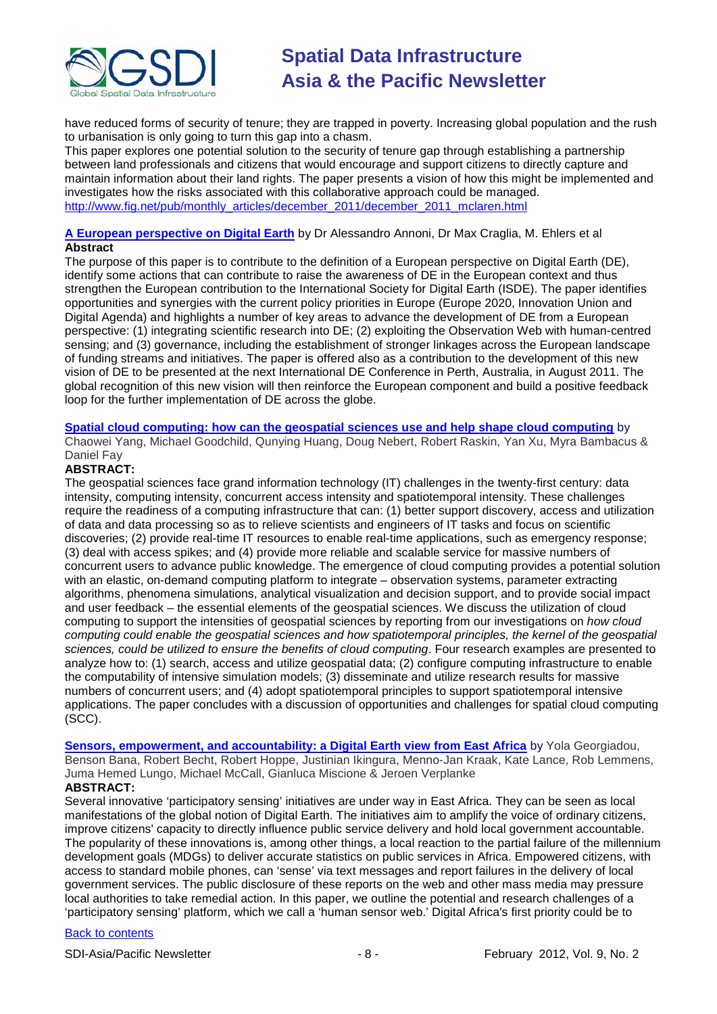

have reduced forms of security of tenure; they are trapped in poverty. Increasing global population and the rush to urbanisation is only going to turn this gap into a chasm.

This paper explores one potential solution to the security of tenure gap through establishing a partnership between land professionals and citizens that would encourage and support citizens to directly capture and maintain information about their land rights. The paper presents a vision of how this might be implemented and investigates how the risks associated with this collaborative approach could be managed. [http://www.fig.net/pub/monthly\\_articles/december\\_2011/december\\_2011\\_mclaren.html](http://www.fig.net/pub/monthly_articles/december_2011/december_2011_mclaren.html)

#### **[A European perspective on Digital Earth](http://www.tandfonline.com/doi/abs/10.1080/17538947.2011.582888)** by Dr Alessandro Annoni, Dr Max Craglia, M. Ehlers et al **Abstract**

The purpose of this paper is to contribute to the definition of a European perspective on Digital Earth (DE), identify some actions that can contribute to raise the awareness of DE in the European context and thus strengthen the European contribution to the International Society for Digital Earth (ISDE). The paper identifies opportunities and synergies with the current policy priorities in Europe (Europe 2020, Innovation Union and Digital Agenda) and highlights a number of key areas to advance the development of DE from a European perspective: (1) integrating scientific research into DE; (2) exploiting the Observation Web with human-centred sensing; and (3) governance, including the establishment of stronger linkages across the European landscape of funding streams and initiatives. The paper is offered also as a contribution to the development of this new vision of DE to be presented at the next International DE Conference in Perth, Australia, in August 2011. The global recognition of this new vision will then reinforce the European component and build a positive feedback loop for the further implementation of DE across the globe.

#### **[Spatial cloud computing: how can the geospatial sciences use and help shape cloud computing](http://www.tandfonline.com/doi/abs/10.1080/17538947.2011.587547)** by

Chaowei Yang, Michael Goodchild, Qunying Huang, Doug Nebert, Robert Raskin, Yan Xu, Myra Bambacus & Daniel Fay

#### **ABSTRACT:**

The geospatial sciences face grand information technology (IT) challenges in the twenty-first century: data intensity, computing intensity, concurrent access intensity and spatiotemporal intensity. These challenges require the readiness of a computing infrastructure that can: (1) better support discovery, access and utilization of data and data processing so as to relieve scientists and engineers of IT tasks and focus on scientific discoveries; (2) provide real-time IT resources to enable real-time applications, such as emergency response; (3) deal with access spikes; and (4) provide more reliable and scalable service for massive numbers of concurrent users to advance public knowledge. The emergence of cloud computing provides a potential solution with an elastic, on-demand computing platform to integrate – observation systems, parameter extracting algorithms, phenomena simulations, analytical visualization and decision support, and to provide social impact and user feedback – the essential elements of the geospatial sciences. We discuss the utilization of cloud computing to support the intensities of geospatial sciences by reporting from our investigations on *how cloud computing could enable the geospatial sciences and how spatiotemporal principles, the kernel of the geospatial sciences, could be utilized to ensure the benefits of cloud computing*. Four research examples are presented to analyze how to: (1) search, access and utilize geospatial data; (2) configure computing infrastructure to enable the computability of intensive simulation models; (3) disseminate and utilize research results for massive numbers of concurrent users; and (4) adopt spatiotemporal principles to support spatiotemporal intensive applications. The paper concludes with a discussion of opportunities and challenges for spatial cloud computing (SCC).

**[Sensors, empowerment, and accountability: a Digital Earth view from East Africa](http://www.tandfonline.com/doi/abs/10.1080/17538947.2011.585184)** by Yola Georgiadou, Benson Bana, Robert Becht, Robert Hoppe, Justinian Ikingura, Menno-Jan Kraak, Kate Lance, Rob Lemmens, Juma Hemed Lungo, Michael McCall, Gianluca Miscione & Jeroen Verplanke **ABSTRACT:**

Several innovative 'participatory sensing' initiatives are under way in East Africa. They can be seen as local manifestations of the global notion of Digital Earth. The initiatives aim to amplify the voice of ordinary citizens, improve citizens' capacity to directly influence public service delivery and hold local government accountable. The popularity of these innovations is, among other things, a local reaction to the partial failure of the millennium development goals (MDGs) to deliver accurate statistics on public services in Africa. Empowered citizens, with access to standard mobile phones, can 'sense' via text messages and report failures in the delivery of local government services. The public disclosure of these reports on the web and other mass media may pressure local authorities to take remedial action. In this paper, we outline the potential and research challenges of a 'participatory sensing' platform, which we call a 'human sensor web.' Digital Africa's first priority could be to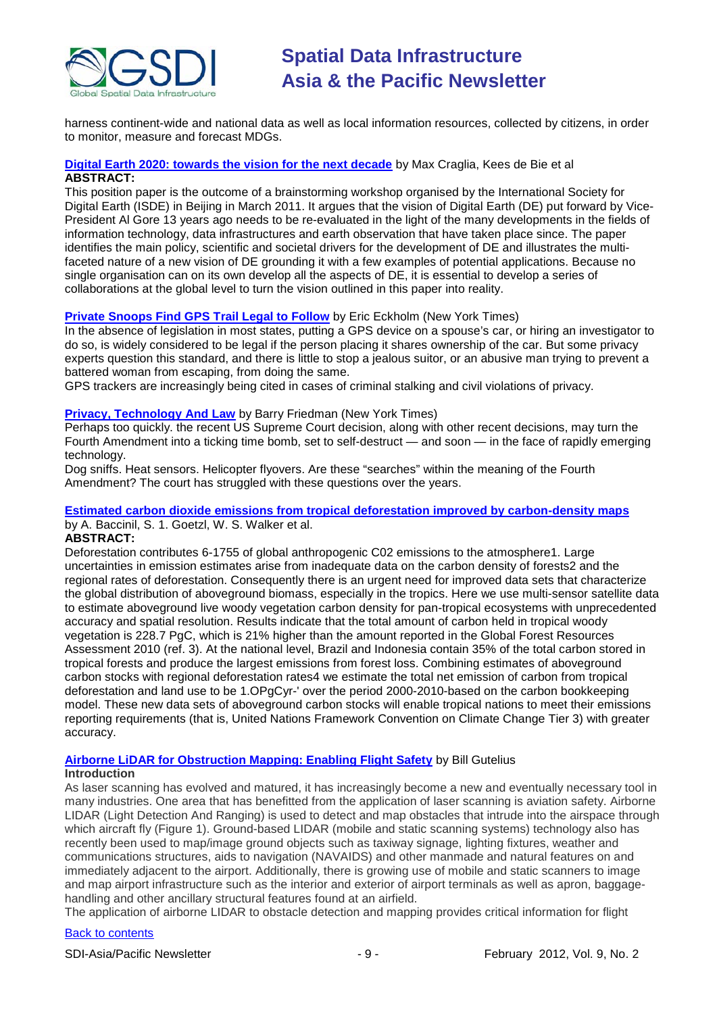

harness continent-wide and national data as well as local information resources, collected by citizens, in order to monitor, measure and forecast MDGs.

#### **[Digital Earth 2020: towards the vision for the next decade](http://www.tandfonline.com/doi/abs/10.1080/17538947.2011.638500)** by Max Craglia, Kees de Bie et al **ABSTRACT:**

This position paper is the outcome of a brainstorming workshop organised by the International Society for Digital Earth (ISDE) in Beijing in March 2011. It argues that the vision of Digital Earth (DE) put forward by Vice-President Al Gore 13 years ago needs to be re-evaluated in the light of the many developments in the fields of information technology, data infrastructures and earth observation that have taken place since. The paper identifies the main policy, scientific and societal drivers for the development of DE and illustrates the multifaceted nature of a new vision of DE grounding it with a few examples of potential applications. Because no single organisation can on its own develop all the aspects of DE, it is essential to develop a series of collaborations at the global level to turn the vision outlined in this paper into reality.

#### **[Private Snoops Find GPS Trail Legal to Follow](http://www.nytimes.com/2012/01/29/us/gps-devices-are-being-used-to-track-cars-and-errant-spouses.html?hp&gwh=4B3D47DFE8060725FB2E2A97BAFF922F)** by Eric Eckholm (New York Times)

In the absence of legislation in most states, putting a GPS device on a spouse's car, or hiring an investigator to do so, is widely considered to be legal if the person placing it shares ownership of the car. But some privacy experts question this standard, and there is little to stop a jealous suitor, or an abusive man trying to prevent a battered woman from escaping, from doing the same.

GPS trackers are increasingly being cited in cases of criminal stalking and civil violations of privacy.

#### **[Privacy, Technology And Law](http://www.nytimes.com/2012/01/29/opinion/sunday/in-the-gps-case-issues-of-privacy-and-technology.html?hp&gwh=86715C182E669BD6EE78FB2D973B993B)** by Barry Friedman (New York Times)

Perhaps too quickly. the recent US Supreme Court decision, along with other recent decisions, may turn the Fourth Amendment into a ticking time bomb, set to self-destruct — and soon — in the face of rapidly emerging technology.

Dog sniffs. Heat sensors. Helicopter flyovers. Are these "searches" within the meaning of the Fourth Amendment? The court has struggled with these questions over the years.

#### **[Estimated carbon dioxide emissions from tropical deforestation improved by carbon-density maps](http://eorder.sheridan.com/3_0/display/index.php?flashprint=1608)** by A. Baccinil, S. 1. Goetzl, W. S. Walker et al.

#### **ABSTRACT:**

Deforestation contributes 6-1755 of global anthropogenic C02 emissions to the atmosphere1. Large uncertainties in emission estimates arise from inadequate data on the carbon density of forests2 and the regional rates of deforestation. Consequently there is an urgent need for improved data sets that characterize the global distribution of aboveground biomass, especially in the tropics. Here we use multi-sensor satellite data to estimate aboveground live woody vegetation carbon density for pan-tropical ecosystems with unprecedented accuracy and spatial resolution. Results indicate that the total amount of carbon held in tropical woody vegetation is 228.7 PgC, which is 21% higher than the amount reported in the Global Forest Resources Assessment 2010 (ref. 3). At the national level, Brazil and Indonesia contain 35% of the total carbon stored in tropical forests and produce the largest emissions from forest loss. Combining estimates of aboveground carbon stocks with regional deforestation rates4 we estimate the total net emission of carbon from tropical deforestation and land use to be 1.OPgCyr-' over the period 2000-2010-based on the carbon bookkeeping model. These new data sets of aboveground carbon stocks will enable tropical nations to meet their emissions reporting requirements (that is, United Nations Framework Convention on Climate Change Tier 3) with greater accuracy.

#### **[Airborne LiDAR for Obstruction Mapping: Enabling Flight Safety](http://www.lidarnews.com/content/view/8766/198/)** by Bill Gutelius **Introduction**

As laser scanning has evolved and matured, it has increasingly become a new and eventually necessary tool in many industries. One area that has benefitted from the application of laser scanning is aviation safety. Airborne LIDAR (Light Detection And Ranging) is used to detect and map obstacles that intrude into the airspace through which aircraft fly (Figure 1). Ground-based LIDAR (mobile and static scanning systems) technology also has recently been used to map/image ground objects such as taxiway signage, lighting fixtures, weather and communications structures, aids to navigation (NAVAIDS) and other manmade and natural features on and immediately adjacent to the airport. Additionally, there is growing use of mobile and static scanners to image and map airport infrastructure such as the interior and exterior of airport terminals as well as apron, baggagehandling and other ancillary structural features found at an airfield.

The application of airborne LIDAR to obstacle detection and mapping provides critical information for flight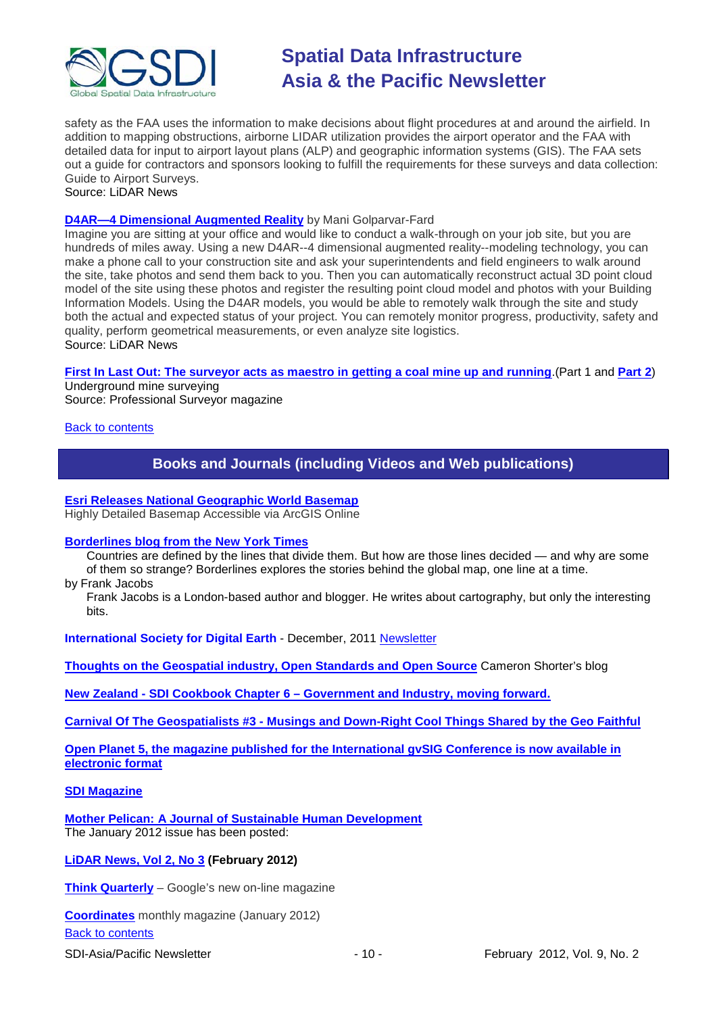

safety as the FAA uses the information to make decisions about flight procedures at and around the airfield. In addition to mapping obstructions, airborne LIDAR utilization provides the airport operator and the FAA with detailed data for input to airport layout plans (ALP) and geographic information systems (GIS). The FAA sets out a guide for contractors and sponsors looking to fulfill the requirements for these surveys and data collection: Guide to Airport Surveys. Source: LiDAR News

### **[D4AR—4 Dimensional Augmented Reality](http://www.lidarnews.com/content/view/8768/198/)** by Mani Golparvar-Fard

Imagine you are sitting at your office and would like to conduct a walk-through on your job site, but you are hundreds of miles away. Using a new D4AR--4 dimensional augmented reality--modeling technology, you can make a phone call to your construction site and ask your superintendents and field engineers to walk around the site, take photos and send them back to you. Then you can automatically reconstruct actual 3D point cloud model of the site using these photos and register the resulting point cloud model and photos with your Building Information Models. Using the D4AR models, you would be able to remotely walk through the site and study both the actual and expected status of your project. You can remotely monitor progress, productivity, safety and quality, perform geometrical measurements, or even analyze site logistics. Source: LiDAR News

**First In [Last Out: The surveyor acts as maestro in getting a coal mine up and running](http://www.profsurv.com/magazine/article.aspx?i=71031)**.(Part 1 and **[Part 2](http://www.profsurv.com/magazine/article.aspx?i=71041&p=1)**)

Underground mine surveying Source: Professional Surveyor magazine

### <span id="page-9-0"></span>**[Back to contents](#page-0-0)**

## **Books and Journals (including Videos and Web publications)**

## **[Esri Releases National Geographic World Basemap](http://www.esri.com/news/releases/12-1qtr/esri-releases-national-geographic-world-basemap.html)**

Highly Detailed Basemap Accessible via ArcGIS Online

#### **[Borderlines blog from the New York Times](http://opinionator.blogs.nytimes.com/category/borderlines/)**

Countries are defined by the lines that divide them. But how are those lines decided — and why are some of them so strange? Borderlines explores the stories behind the global map, one line at a time.

by Frank Jacobs

Frank Jacobs is a London-based author and blogger. He writes about cartography, but only the interesting bits.

**International Society for Digital Earth** - December, 2011 [Newsletter](http://www.digitalearth-isde.org/news/ISDE-Newsletter.html)

**[Thoughts on the Geospatial industry, Open Standards and Open Source](http://cameronshorter.blogspot.com/2011/06/memoirs-of-cat-herder-coordinating.html)** Cameron Shorter's blog

**New Zealand - SDI Cookbook Chapter 6 – [Government and Industry, moving forward.](http://www.geospatial.govt.nz/sdi-cookbook-chapter-6-government-and-industry-moving-forward)**

**Carnival Of The Geospatialists #3 - [Musings and Down-Right Cool Things Shared by the Geo Faithful](http://www.gisuser.com/content/view/25690/28/)**

**[Open Planet 5, the magazine published for the International gvSIG Conference is now available in](http://jornadas.gvsig.org/descargas/magazine)  [electronic format](http://jornadas.gvsig.org/descargas/magazine)**

### **[SDI Magazine](http://www.sdimag.com/)**

**[Mother Pelican: A Journal of Sustainable Human Development](http://www.pelicanweb.org/solisustv08n01page1.html)** The January 2012 issue has been posted:

### **[LiDAR News, Vol 2, No 3](http://www.lidarnews.com/newsletter/Vol2No3.htm) (February 2012)**

**[Think Quarterly](http://thinkquarterly.co.uk/#aboutthebook)** – Google's new on-line magazine

**[Coordinates](http://mycoordinates.org/pdf/jan12.pdf)** monthly magazine (January 2012)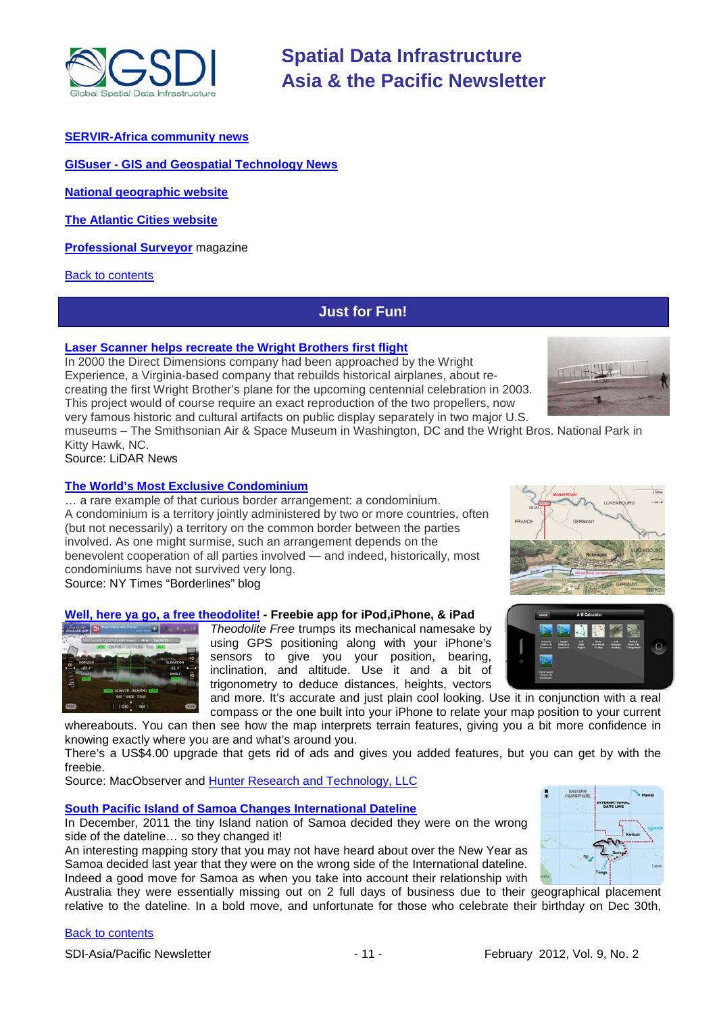

**GISuser - [GIS and Geospatial Technology News](http://www.gisuser.com/)**

**[National geographic](http://www.nationalgeographic.com/) website**

**[The Atlantic Cities website](http://www.theatlanticcities.com/)**

**[Professional Surveyor](http://www.profsurv.com/)** magazine

<span id="page-10-0"></span>[Back to contents](#page-0-0)

### **Just for Fun!**

#### **[Laser Scanner helps recreate the Wright Brothers first flight](http://www.lidarnews.com/content/view/8363/136/)**

In 2000 the Direct Dimensions company had been approached by the Wright Experience, a Virginia-based company that rebuilds historical airplanes, about recreating the first Wright Brother's plane for the upcoming centennial celebration in 2003. This project would of course require an exact reproduction of the two propellers, now very famous historic and cultural artifacts on public display separately in two major U.S.



museums – The Smithsonian Air & Space Museum in Washington, DC and the Wright Bros. National Park in Kitty Hawk, NC.

Source: LiDAR News

#### **[The World's Most Exclusive Condominium](http://opinionator.blogs.nytimes.com/2012/01/23/the-worlds-most-exclusive-condominium/)**

… a rare example of that curious border arrangement: a condominium. A condominium is a territory jointly administered by two or more countries, often (but not necessarily) a territory on the common border between the parties involved. As one might surmise, such an arrangement depends on the benevolent cooperation of all parties involved — and indeed, historically, most condominiums have not survived very long.

Source: NY Times "Borderlines" blog

#### **[Well, here ya go, a free theodolite!](http://www.macobserver.com/tmo/article/3_ios_freebies_for_the_armchair_adventurer/) - Freebie app for iPod,iPhone, & iPad**



*Theodolite Free* trumps its mechanical namesake by using GPS positioning along with your iPhone's sensors to give you your position, bearing, inclination, and altitude. Use it and a bit of trigonometry to deduce distances, heights, vectors

and more. It's accurate and just plain cool looking. Use it in conjunction with a real compass or the one built into your iPhone to relate your map position to your current

whereabouts. You can then see how the map interprets terrain features, giving you a bit more confidence in knowing exactly where you are and what's around you.

There's a US\$4.00 upgrade that gets rid of ads and gives you added features, but you can get by with the freebie.

Source: MacObserver and [Hunter Research and Technology, LLC](http://hunter.pairsite.com/theodolite/)

#### **[South Pacific Island of Samoa Changes International Dateline](http://www.gisuser.com/content/view/25677/2/)**

In December, 2011 the tiny Island nation of Samoa decided they were on the wrong side of the dateline… so they changed it!

An interesting mapping story that you may not have heard about over the New Year as Samoa decided last year that they were on the wrong side of the International dateline. Indeed a good move for Samoa as when you take into account their relationship with



Australia they were essentially missing out on 2 full days of business due to their geographical placement relative to the dateline. In a bold move, and unfortunate for those who celebrate their birthday on Dec 30th,



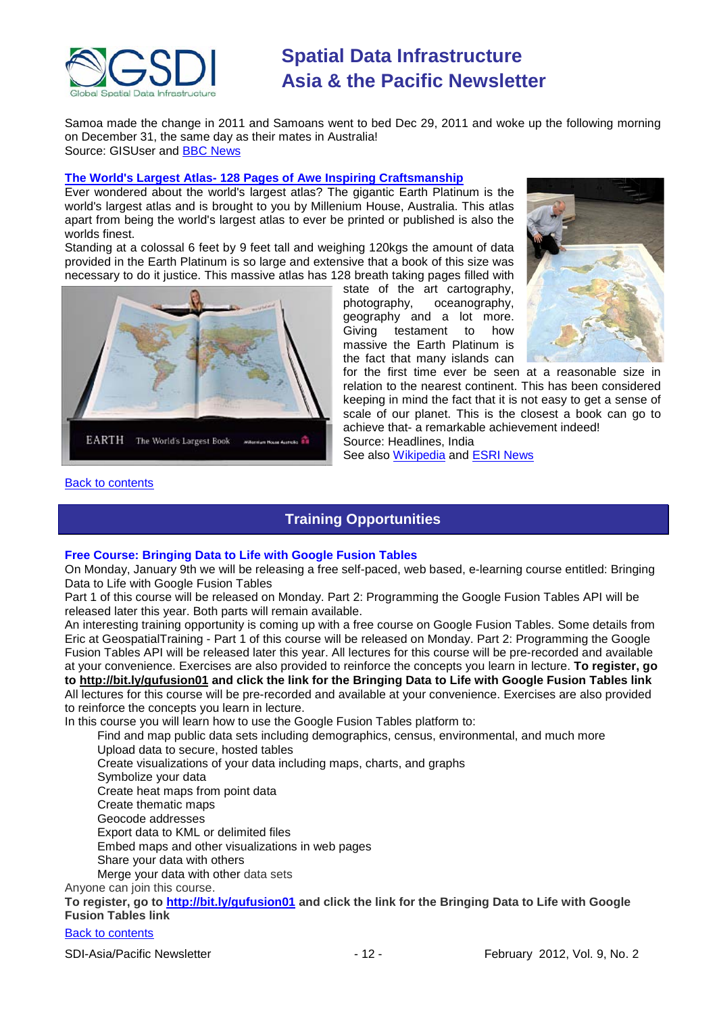

Samoa made the change in 2011 and Samoans went to bed Dec 29, 2011 and woke up the following morning on December 31, the same day as their mates in Australia! Source: GISUser and [BBC News](http://www.bbc.co.uk/news/world-asia-16351377)

#### **The World's Largest Atlas- [128 Pages of Awe Inspiring Craftsmanship](http://headlinesindia.mapsofindia.com/science-and-technology/mapping/the-worlds-largest-atlas-128-pages-of-awe-inspiring-craftsmanship-100577.html)**

Ever wondered about the world's largest atlas? The gigantic Earth Platinum is the world's largest atlas and is brought to you by Millenium House, Australia. This atlas apart from being the world's largest atlas to ever be printed or published is also the worlds finest.

Standing at a colossal 6 feet by 9 feet tall and weighing 120kgs the amount of data provided in the Earth Platinum is so large and extensive that a book of this size was necessary to do it justice. This massive atlas has 128 breath taking pages filled with



state of the art cartography,<br>photography, oceanography, oceanography, geography and a lot more. Giving testament to how massive the Earth Platinum is the fact that many islands can



for the first time ever be seen at a reasonable size in relation to the nearest continent. This has been considered keeping in mind the fact that it is not easy to get a sense of scale of our planet. This is the closest a book can go to achieve that- a remarkable achievement indeed! Source: Headlines, India

See also [Wikipedia](http://en.wikipedia.org/wiki/Earth_Platinum) and [ESRI News](http://www.esri.com/news/arcnews/spring11articles/extreme-cartography.html)

#### <span id="page-11-0"></span>[Back to contents](#page-0-0)

### **Training Opportunities**

#### **Free Course: Bringing Data to Life with Google Fusion Tables**

On Monday, January 9th we will be releasing a free self-paced, web based, e-learning course entitled: Bringing Data to Life with Google Fusion Tables

Part 1 of this course will be released on Monday. Part 2: Programming the Google Fusion Tables API will be released later this year. Both parts will remain available.

An interesting training opportunity is coming up with a free course on Google Fusion Tables. Some details from Eric at GeospatialTraining - Part 1 of this course will be released on Monday. Part 2: Programming the Google Fusion Tables API will be released later this year. All lectures for this course will be pre-recorded and available at your convenience. Exercises are also provided to reinforce the concepts you learn in lecture. **To register, go to <http://bit.ly/gufusion01> and click the link for the Bringing Data to Life with Google Fusion Tables link** All lectures for this course will be pre-recorded and available at your convenience. Exercises are also provided to reinforce the concepts you learn in lecture.

In this course you will learn how to use the Google Fusion Tables platform to:

Find and map public data sets including demographics, census, environmental, and much more Upload data to secure, hosted tables Create visualizations of your data including maps, charts, and graphs Symbolize your data Create heat maps from point data Create thematic maps Geocode addresses Export data to KML or delimited files Embed maps and other visualizations in web pages Share your data with others

Merge your data with other data sets

Anyone can join this course.

**To register, go to <http://bit.ly/gufusion01> and click the link for the Bringing Data to Life with Google Fusion Tables link**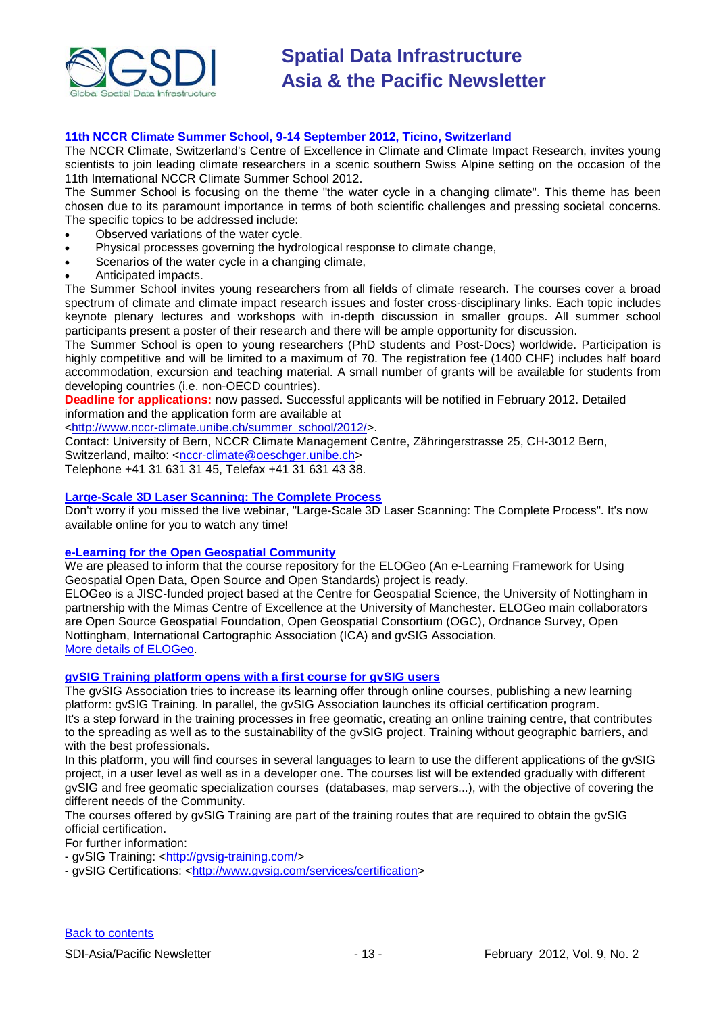

#### **11th NCCR Climate Summer School, 9-14 September 2012, Ticino, Switzerland**

The NCCR Climate, Switzerland's Centre of Excellence in Climate and Climate Impact Research, invites young scientists to join leading climate researchers in a scenic southern Swiss Alpine setting on the occasion of the 11th International NCCR Climate Summer School 2012.

The Summer School is focusing on the theme "the water cycle in a changing climate". This theme has been chosen due to its paramount importance in terms of both scientific challenges and pressing societal concerns. The specific topics to be addressed include:

- Observed variations of the water cycle.
- Physical processes governing the hydrological response to climate change,
- Scenarios of the water cycle in a changing climate,
- Anticipated impacts.

The Summer School invites young researchers from all fields of climate research. The courses cover a broad spectrum of climate and climate impact research issues and foster cross-disciplinary links. Each topic includes keynote plenary lectures and workshops with in-depth discussion in smaller groups. All summer school participants present a poster of their research and there will be ample opportunity for discussion.

The Summer School is open to young researchers (PhD students and Post-Docs) worldwide. Participation is highly competitive and will be limited to a maximum of 70. The registration fee (1400 CHF) includes half board accommodation, excursion and teaching material. A small number of grants will be available for students from developing countries (i.e. non-OECD countries).

**Deadline for applications:** now passed. Successful applicants will be notified in February 2012. Detailed information and the application form are available at

[<http://www.nccr-climate.unibe.ch/summer\\_school/2012/>](http://www.nccr-climate.unibe.ch/summer_school/2012/).

Contact: University of Bern, NCCR Climate Management Centre, Zähringerstrasse 25, CH-3012 Bern, Switzerland, mailto: [<nccr-climate@oeschger.unibe.ch>](mailto:nccr-climate@oeschger.unibe.ch)

Telephone +41 31 631 31 45, Telefax +41 31 631 43 38.

#### **[Large-Scale 3D Laser Scanning: The Complete Process](http://www.faro.com/site/resources/details/1373?CampaignId=70170000000bbwr)**

Don't worry if you missed the live webinar, "Large-Scale 3D Laser Scanning: The Complete Process". It's now available online for you to watch any time!

### **[e-Learning for the Open Geospatial Community](http://elogeo.nottingham.ac.uk/xmlui)**

We are pleased to inform that the course repository for the ELOGeo (An e-Learning Framework for Using Geospatial Open Data, Open Source and Open Standards) project is ready.

ELOGeo is a JISC-funded project based at the Centre for Geospatial Science, the University of Nottingham in partnership with the Mimas Centre of Excellence at the University of Manchester. ELOGeo main collaborators are Open Source Geospatial Foundation, Open Geospatial Consortium (OGC), Ordnance Survey, Open Nottingham, International Cartographic Association (ICA) and gvSIG Association. [More details of ELOGeo.](http://elogeo.nottingham.ac.uk/index.html)

#### **gvSIG Training platform opens with a first course for gvSIG users**

The gvSIG Association tries to increase its learning offer through online courses, publishing a new learning platform: gvSIG Training. In parallel, the gvSIG Association launches its official certification program. It's a step forward in the training processes in free geomatic, creating an online training centre, that contributes to the spreading as well as to the sustainability of the gvSIG project. Training without geographic barriers, and with the best professionals.

In this platform, you will find courses in several languages to learn to use the different applications of the gvSIG project, in a user level as well as in a developer one. The courses list will be extended gradually with different gvSIG and free geomatic specialization courses (databases, map servers...), with the objective of covering the different needs of the Community.

The courses offered by gvSIG Training are part of the training routes that are required to obtain the gvSIG official certification.

For further information:

- gvSIG Training: [<http://gvsig-training.com/>](http://gvsig-training.com/)

- gvSIG Certifications: [<http://www.gvsig.com/services/certification>](http://www.gvsig.com/services/certification)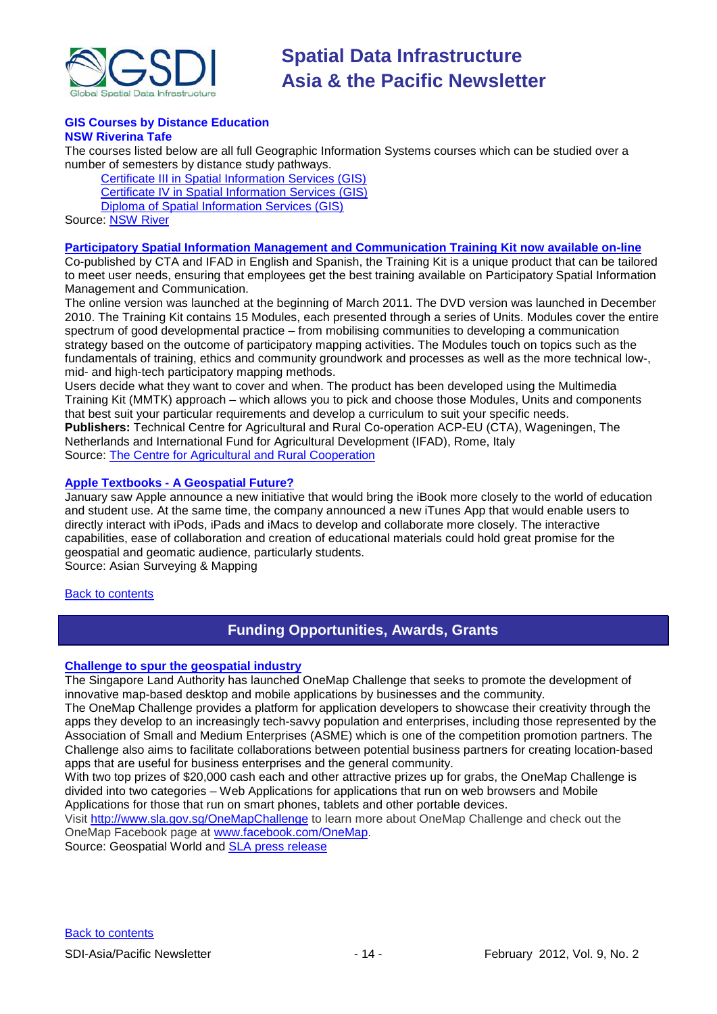

#### **GIS Courses by Distance Education NSW Riverina Tafe**

The courses listed below are all full Geographic Information Systems courses which can be studied over a number of semesters by distance study pathways.

[Certificate III in Spatial Information Services \(GIS\)](http://www.rit.tafensw.edu.au/nec/nrme/giscourses#Cert III in Spatial Information Services (CPP30109)) [Certificate IV in Spatial Information Services \(GIS\)](http://www.rit.tafensw.edu.au/nec/nrme/giscourses#Cert IV in Spatial Information Services (CPP40209)) [Diploma of Spatial Information Services \(GIS\)](http://www.rit.tafensw.edu.au/nec/nrme/giscourses#Diploma of Spatial Information Services (CPP50207)) Sourc[e: NSW River](http://www.rit.tafensw.edu.au/nec/nrme/giscourses)

#### **[Participatory Spatial Information Management and Communication Training Kit now available on-line](http://www.cta.int/en/About-us/CTA-news/Participatory-Spatial-Information-Management-and-Communication-Training-Kit-now-available-on-line)**

Co-published by CTA and IFAD in English and Spanish, the Training Kit is a unique product that can be tailored to meet user needs, ensuring that employees get the best training available on Participatory Spatial Information Management and Communication.

The [online version](http://pgis-tk.cta.int/) was launched at the beginning of March 2011. The DVD version was launched in December 2010. The Training Kit contains 15 Modules, each presented through a series of Units. Modules cover the entire spectrum of good developmental practice – from mobilising communities to developing a communication strategy based on the outcome of participatory mapping activities. The Modules touch on topics such as the fundamentals of training, ethics and community groundwork and processes as well as the more technical low-, mid- and high-tech participatory mapping methods.

Users decide what they want to cover and when. The product has been developed using the Multimedia Training Kit (MMTK) approach – which allows you to pick and choose those Modules, Units and components that best suit your particular requirements and develop a curriculum to suit your specific needs. **Publishers:** Technical Centre for Agricultural and Rural Co-operation ACP-EU (CTA), Wageningen, The Netherlands and International Fund for Agricultural Development (IFAD), Rome, Italy Source: [The Centre for Agricultural and Rural Cooperation](http://www.cta.int/en/About-us/Who-we-are)

#### **Apple Textbooks - [A Geospatial Future?](http://www.asmmag.com/201201203006/apple-textbooks-a-geospatial-future.html)**

January saw Apple announce a new initiative that would bring the iBook more closely to the world of education and student use. At the same time, the company announced a new iTunes App that would enable users to directly interact with iPods, iPads and iMacs to develop and collaborate more closely. The interactive capabilities, ease of collaboration and creation of educational materials could hold great promise for the geospatial and geomatic audience, particularly students.

Source: Asian Surveying & Mapping

#### <span id="page-13-0"></span>[Back to contents](#page-0-0)

### **Funding Opportunities, Awards, Grants**

#### **[Challenge to spur the geospatial industry](http://geospatialworld.net/index.php?option=com_content&view=article&id=23850:challenge-to-spur-the-geospatial-industry&catid=75:miscellaneous-events)**

The Singapore Land Authority has launched OneMap Challenge that seeks to promote the development of innovative map-based desktop and mobile applications by businesses and the community.

The OneMap Challenge provides a platform for application developers to showcase their creativity through the apps they develop to an increasingly tech-savvy population and enterprises, including those represented by the Association of Small and Medium Enterprises (ASME) which is one of the competition promotion partners. The Challenge also aims to facilitate collaborations between potential business partners for creating location-based apps that are useful for business enterprises and the general community.

With two top prizes of \$20,000 cash each and other attractive prizes up for grabs, the OneMap Challenge is divided into two categories – Web Applications for applications that run on web browsers and Mobile Applications for those that run on smart phones, tablets and other portable devices.

Visit <http://www.sla.gov.sg/OneMapChallenge> to learn more about OneMap Challenge and check out the OneMap Facebook page at [www.facebook.com/OneMap.](http://www.facebook.com/OneMap)

Source: Geospatial World and **SLA** press release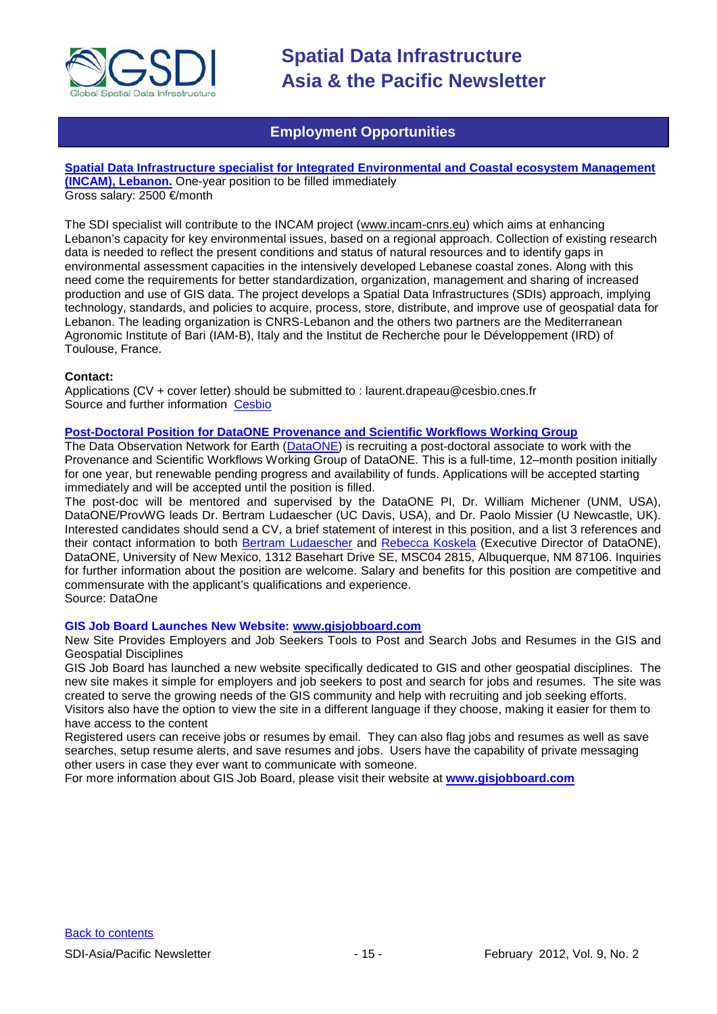

### **Employment Opportunities**

<span id="page-14-0"></span>**[Spatial Data Infrastructure specialist for Integrated Environmental and Coastal ecosystem Management](http://www.cesbio.ups-tlse.fr/fr/temporaire/ProfilIncam.pdf) [\(INCAM\), Lebanon.](http://www.cesbio.ups-tlse.fr/fr/temporaire/ProfilIncam.pdf)** One-year position to be filled immediately Gross salary: 2500 €/month

The SDI specialist will contribute to the INCAM project (www.incam-cnrs.eu) which aims at enhancing Lebanon's capacity for key environmental issues, based on a regional approach. Collection of existing research data is needed to reflect the present conditions and status of natural resources and to identify gaps in environmental assessment capacities in the intensively developed Lebanese coastal zones. Along with this need come the requirements for better standardization, organization, management and sharing of increased production and use of GIS data. The project develops a Spatial Data Infrastructures (SDIs) approach, implying technology, standards, and policies to acquire, process, store, distribute, and improve use of geospatial data for Lebanon. The leading organization is CNRS-Lebanon and the others two partners are the Mediterranean Agronomic Institute of Bari (IAM-B), Italy and the Institut de Recherche pour le Développement (IRD) of Toulouse, France.

#### **Contact:**

Applications (CV + cover letter) should be submitted to : laurent.drapeau@cesbio.cnes.fr Source and further information [Cesbio](http://www.cesbio.ups-tlse.fr/fr/temporaire/ProfilIncam.pdf)

#### **Post-Doctoral Position for DataONE [Provenance and Scientific Workflows Working Group](https://www.dataone.org/content/post-doctoral-position-dataone-provenance-and-scientific-workflows-working-group)**

The Data Observation Network for Earth [\(DataONE\)](http://dataone.org/) is recruiting a post-doctoral associate to work with the Provenance and Scientific Workflows Working Group of DataONE. This is a full-time, 12–month position initially for one year, but renewable pending progress and availability of funds. Applications will be accepted starting immediately and will be accepted until the position is filled.

The post-doc will be mentored and supervised by the DataONE PI, Dr. William Michener (UNM, USA), DataONE/ProvWG leads Dr. Bertram Ludaescher (UC Davis, USA), and Dr. Paolo Missier (U Newcastle, UK). Interested candidates should send a CV, a brief statement of interest in this position, and a list 3 references and their contact information to both [Bertram Ludaescher](mailto:ludaesch@ucdavis.edu) and [Rebecca Koskela](mailto:rkoskela@unm.edu) (Executive Director of DataONE), DataONE, University of New Mexico, 1312 Basehart Drive SE, MSC04 2815, Albuquerque, NM 87106. Inquiries for further information about the position are welcome. Salary and benefits for this position are competitive and commensurate with the applicant's qualifications and experience.

### Source: DataOne

#### **GIS Job Board Launches New Website: [www.gisjobboard.com](http://www.gisjobboard.com/)**

New Site Provides Employers and Job Seekers Tools to Post and Search Jobs and Resumes in the GIS and Geospatial Disciplines

GIS Job Board has launched a new website specifically dedicated to GIS and other geospatial disciplines. The new site makes it simple for employers and job seekers to post and search for jobs and resumes. The site was created to serve the growing needs of the GIS community and help with recruiting and job seeking efforts. Visitors also have the option to view the site in a different language if they choose, making it easier for them to have access to the content

Registered users can receive jobs or resumes by email. They can also flag jobs and resumes as well as save searches, setup resume alerts, and save resumes and jobs. Users have the capability of private messaging other users in case they ever want to communicate with someone.

For more information about GIS Job Board, please visit their website at **[www.gisjobboard.com](http://www.gisjobboard.com/)**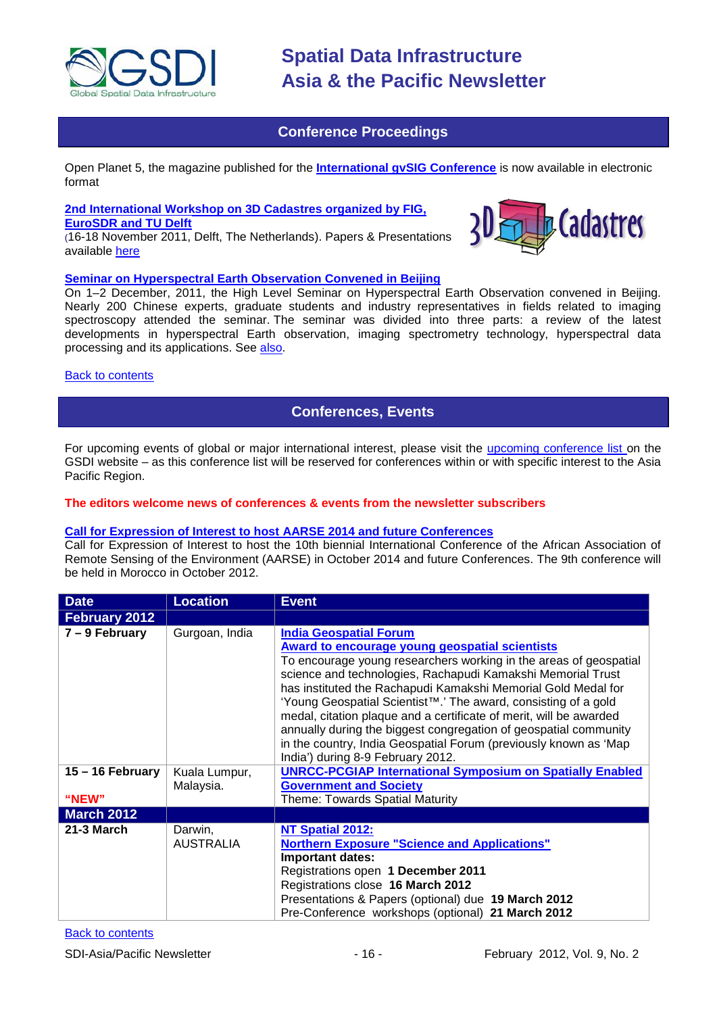

### **Conference Proceedings**

<span id="page-15-0"></span>[Open Planet 5, the magazine published for the](http://jornadas.gvsig.org/descargas/magazine) **International gvSIG Conference** is now available in electronic [format](http://jornadas.gvsig.org/descargas/magazine)

### **[2nd International Workshop on 3D Cadastres organized by FIG,](http://www.3dcadastres2011.nl/)**

**[EuroSDR and TU Delft](http://www.3dcadastres2011.nl/)** 

(16-18 November 2011, Delft, The Netherlands). Papers & Presentations available [here](http://3dcadastres2011.nl/programme/)



#### **[Seminar on Hyperspectral Earth Observation Convened in Beijing](http://www.asmmag.com/201112162780/seminar-on-hyperspectral-earth-observation-convened-in-beijing.html)**

On 1–2 December, 2011, the High Level Seminar on Hyperspectral Earth Observation convened in Beijing. Nearly 200 Chinese experts, graduate students and industry representatives in fields related to imaging spectroscopy attended the seminar. The seminar was divided into three parts: a review of the latest developments in hyperspectral Earth observation, imaging spectrometry technology, hyperspectral data processing and its applications. See [also.](http://english.ceode.cas.cn/ns/icn/201112/t20111212_79976.html)

#### <span id="page-15-1"></span>[Back to contents](#page-0-0)

### **Conferences, Events**

For upcoming events of global or major international interest, please visit the [upcoming conference list o](http://gsdi.org/events/upcnf.asp)n the GSDI website – as this conference list will be reserved for conferences within or with specific interest to the Asia Pacific Region.

#### **The editors welcome news of conferences & events from the newsletter subscribers**

#### **[Call for Expression of Interest to host AARSE 2014 and future Conferences](http://lists.gsdi.org/pipermail/sdi-africa/2010-November/001135.html)**

Call for Expression of Interest to host the 10th biennial International Conference of the African Association of Remote Sensing of the Environment (AARSE) in October 2014 and future Conferences. The 9th conference will be held in Morocco in October 2012.

| <b>Date</b>       | <b>Location</b>             | <b>Event</b>                                                                                                                                                                                                                                                                                                                                                                                                                                                                                                                                                                                                                  |
|-------------------|-----------------------------|-------------------------------------------------------------------------------------------------------------------------------------------------------------------------------------------------------------------------------------------------------------------------------------------------------------------------------------------------------------------------------------------------------------------------------------------------------------------------------------------------------------------------------------------------------------------------------------------------------------------------------|
| February 2012     |                             |                                                                                                                                                                                                                                                                                                                                                                                                                                                                                                                                                                                                                               |
| 7 – 9 February    | Gurgoan, India              | <b>India Geospatial Forum</b><br><b>Award to encourage young geospatial scientists</b><br>To encourage young researchers working in the areas of geospatial<br>science and technologies, Rachapudi Kamakshi Memorial Trust<br>has instituted the Rachapudi Kamakshi Memorial Gold Medal for<br>'Young Geospatial Scientist <sup>™</sup> .' The award, consisting of a gold<br>medal, citation plaque and a certificate of merit, will be awarded<br>annually during the biggest congregation of geospatial community<br>in the country, India Geospatial Forum (previously known as 'Map<br>India') during 8-9 February 2012. |
| 15 - 16 February  | Kuala Lumpur,<br>Malaysia.  | <b>UNRCC-PCGIAP International Symposium on Spatially Enabled</b><br><b>Government and Society</b>                                                                                                                                                                                                                                                                                                                                                                                                                                                                                                                             |
| "NEW"             |                             | <b>Theme: Towards Spatial Maturity</b>                                                                                                                                                                                                                                                                                                                                                                                                                                                                                                                                                                                        |
| <b>March 2012</b> |                             |                                                                                                                                                                                                                                                                                                                                                                                                                                                                                                                                                                                                                               |
| 21-3 March        | Darwin,<br><b>AUSTRALIA</b> | NT Spatial 2012:<br><b>Northern Exposure "Science and Applications"</b><br><b>Important dates:</b><br>Registrations open 1 December 2011<br>Registrations close 16 March 2012<br>Presentations & Papers (optional) due 19 March 2012<br>Pre-Conference workshops (optional) 21 March 2012                                                                                                                                                                                                                                                                                                                                     |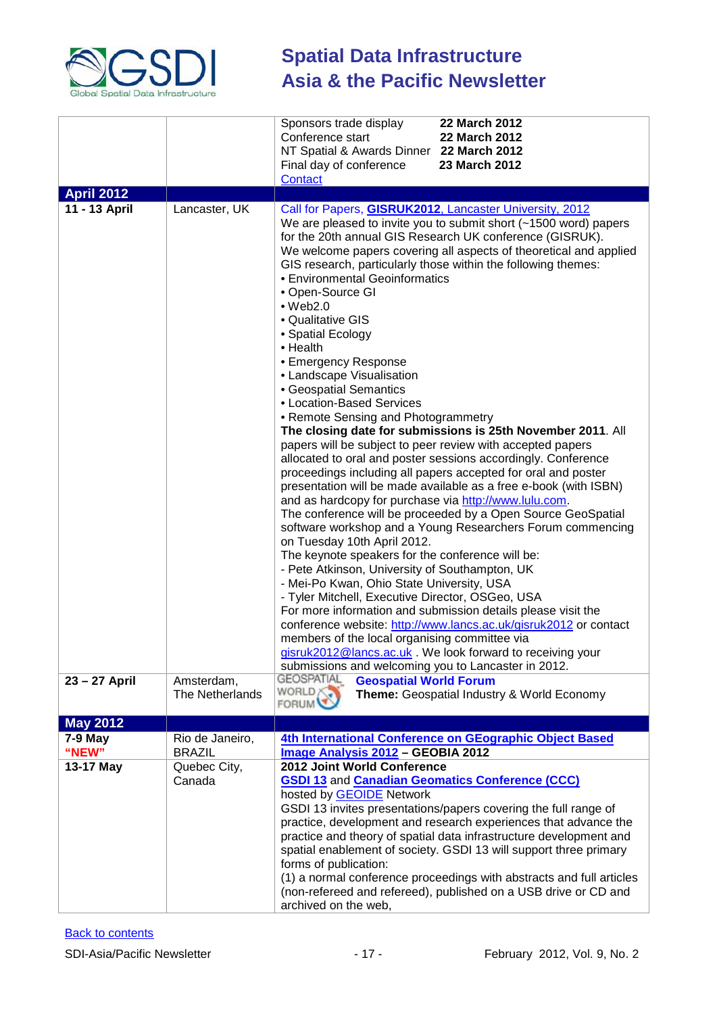

|                    |                                  | 22 March 2012<br>Sponsors trade display<br>Conference start<br>22 March 2012<br>NT Spatial & Awards Dinner 22 March 2012                                                                                                                                                                                                                                                                                                                                                                                                                                                                                                                                                                                                                                                                                                                                                                                                                                                                                                                                                                                                                                                                                                                                                                                                                                                                                                                                                                                                                                                                                                                                                                     |
|--------------------|----------------------------------|----------------------------------------------------------------------------------------------------------------------------------------------------------------------------------------------------------------------------------------------------------------------------------------------------------------------------------------------------------------------------------------------------------------------------------------------------------------------------------------------------------------------------------------------------------------------------------------------------------------------------------------------------------------------------------------------------------------------------------------------------------------------------------------------------------------------------------------------------------------------------------------------------------------------------------------------------------------------------------------------------------------------------------------------------------------------------------------------------------------------------------------------------------------------------------------------------------------------------------------------------------------------------------------------------------------------------------------------------------------------------------------------------------------------------------------------------------------------------------------------------------------------------------------------------------------------------------------------------------------------------------------------------------------------------------------------|
|                    |                                  | Final day of conference<br>23 March 2012<br><b>Contact</b>                                                                                                                                                                                                                                                                                                                                                                                                                                                                                                                                                                                                                                                                                                                                                                                                                                                                                                                                                                                                                                                                                                                                                                                                                                                                                                                                                                                                                                                                                                                                                                                                                                   |
| <b>April 2012</b>  |                                  |                                                                                                                                                                                                                                                                                                                                                                                                                                                                                                                                                                                                                                                                                                                                                                                                                                                                                                                                                                                                                                                                                                                                                                                                                                                                                                                                                                                                                                                                                                                                                                                                                                                                                              |
| 11 - 13 April      | Lancaster, UK                    | Call for Papers, <b>GISRUK2012</b> , Lancaster University, 2012<br>We are pleased to invite you to submit short (~1500 word) papers<br>for the 20th annual GIS Research UK conference (GISRUK).<br>We welcome papers covering all aspects of theoretical and applied<br>GIS research, particularly those within the following themes:<br>• Environmental Geoinformatics<br>• Open-Source GI<br>$•$ Web2.0<br>• Qualitative GIS<br>• Spatial Ecology<br>• Health<br>• Emergency Response<br>• Landscape Visualisation<br>• Geospatial Semantics<br>• Location-Based Services<br>• Remote Sensing and Photogrammetry<br>The closing date for submissions is 25th November 2011. All<br>papers will be subject to peer review with accepted papers<br>allocated to oral and poster sessions accordingly. Conference<br>proceedings including all papers accepted for oral and poster<br>presentation will be made available as a free e-book (with ISBN)<br>and as hardcopy for purchase via http://www.lulu.com.<br>The conference will be proceeded by a Open Source GeoSpatial<br>software workshop and a Young Researchers Forum commencing<br>on Tuesday 10th April 2012.<br>The keynote speakers for the conference will be:<br>- Pete Atkinson, University of Southampton, UK<br>- Mei-Po Kwan, Ohio State University, USA<br>- Tyler Mitchell, Executive Director, OSGeo, USA<br>For more information and submission details please visit the<br>conference website: http://www.lancs.ac.uk/gisruk2012 or contact<br>members of the local organising committee via<br>gisruk2012@lancs.ac.uk . We look forward to receiving your<br>submissions and welcoming you to Lancaster in 2012. |
| 23 - 27 April      | Amsterdam,<br>The Netherlands    | <b>GEOSPATIAL</b><br><b>Geospatial World Forum</b><br>WORLD<br>Theme: Geospatial Industry & World Economy<br><b>FORUM</b>                                                                                                                                                                                                                                                                                                                                                                                                                                                                                                                                                                                                                                                                                                                                                                                                                                                                                                                                                                                                                                                                                                                                                                                                                                                                                                                                                                                                                                                                                                                                                                    |
| <b>May 2012</b>    |                                  |                                                                                                                                                                                                                                                                                                                                                                                                                                                                                                                                                                                                                                                                                                                                                                                                                                                                                                                                                                                                                                                                                                                                                                                                                                                                                                                                                                                                                                                                                                                                                                                                                                                                                              |
| $7-9$ May<br>"NEW" | Rio de Janeiro,<br><b>BRAZIL</b> | 4th International Conference on GEographic Object Based<br>Image Analysis 2012 - GEOBIA 2012                                                                                                                                                                                                                                                                                                                                                                                                                                                                                                                                                                                                                                                                                                                                                                                                                                                                                                                                                                                                                                                                                                                                                                                                                                                                                                                                                                                                                                                                                                                                                                                                 |
| 13-17 May          | Quebec City,                     | 2012 Joint World Conference                                                                                                                                                                                                                                                                                                                                                                                                                                                                                                                                                                                                                                                                                                                                                                                                                                                                                                                                                                                                                                                                                                                                                                                                                                                                                                                                                                                                                                                                                                                                                                                                                                                                  |
|                    | Canada                           | <b>GSDI 13 and Canadian Geomatics Conference (CCC)</b><br>hosted by GEOIDE Network<br>GSDI 13 invites presentations/papers covering the full range of<br>practice, development and research experiences that advance the<br>practice and theory of spatial data infrastructure development and<br>spatial enablement of society. GSDI 13 will support three primary<br>forms of publication:<br>(1) a normal conference proceedings with abstracts and full articles<br>(non-refereed and refereed), published on a USB drive or CD and<br>archived on the web,                                                                                                                                                                                                                                                                                                                                                                                                                                                                                                                                                                                                                                                                                                                                                                                                                                                                                                                                                                                                                                                                                                                              |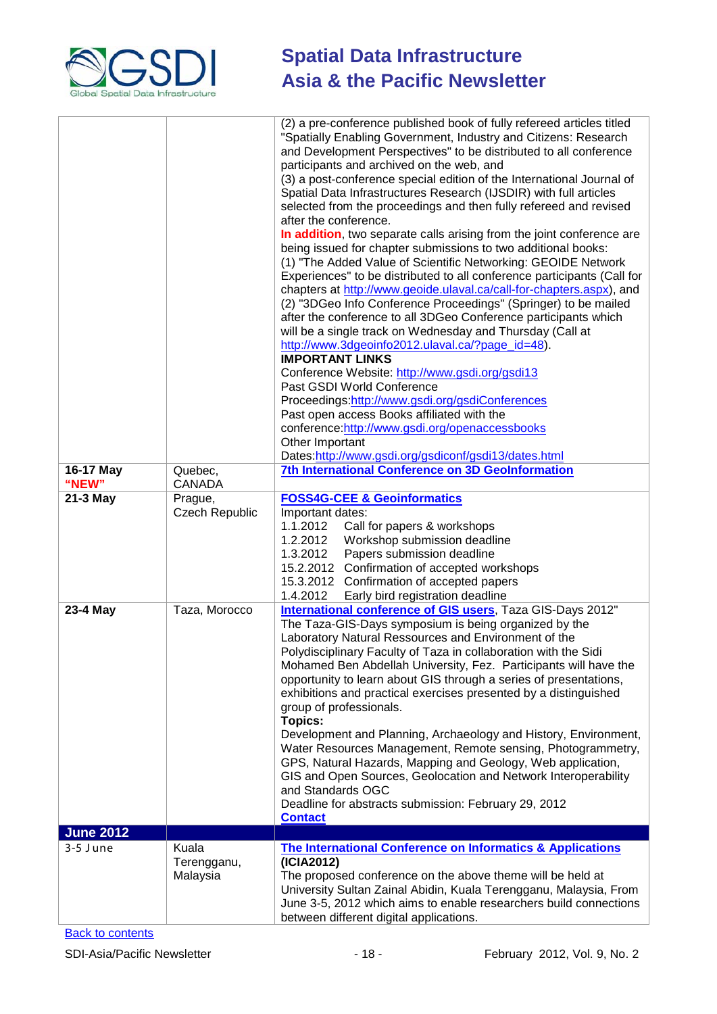

| 16-17 May<br>"NEW"<br>21-3 May | Quebec,<br><b>CANADA</b>         | (2) a pre-conference published book of fully refereed articles titled<br>"Spatially Enabling Government, Industry and Citizens: Research<br>and Development Perspectives" to be distributed to all conference<br>participants and archived on the web, and<br>(3) a post-conference special edition of the International Journal of<br>Spatial Data Infrastructures Research (IJSDIR) with full articles<br>selected from the proceedings and then fully refereed and revised<br>after the conference.<br>In addition, two separate calls arising from the joint conference are<br>being issued for chapter submissions to two additional books:<br>(1) "The Added Value of Scientific Networking: GEOIDE Network<br>Experiences" to be distributed to all conference participants (Call for<br>chapters at http://www.geoide.ulaval.ca/call-for-chapters.aspx), and<br>(2) "3DGeo Info Conference Proceedings" (Springer) to be mailed<br>after the conference to all 3DGeo Conference participants which<br>will be a single track on Wednesday and Thursday (Call at<br>http://www.3dgeoinfo2012.ulaval.ca/?page_id=48).<br><b>IMPORTANT LINKS</b><br>Conference Website: http://www.gsdi.org/gsdi13<br>Past GSDI World Conference<br>Proceedings:http://www.gsdi.org/gsdiConferences<br>Past open access Books affiliated with the<br>conference:http://www.gsdi.org/openaccessbooks<br>Other Important<br>Dates:http://www.gsdi.org/gsdiconf/gsdi13/dates.html<br><b>7th International Conference on 3D GeoInformation</b> |
|--------------------------------|----------------------------------|---------------------------------------------------------------------------------------------------------------------------------------------------------------------------------------------------------------------------------------------------------------------------------------------------------------------------------------------------------------------------------------------------------------------------------------------------------------------------------------------------------------------------------------------------------------------------------------------------------------------------------------------------------------------------------------------------------------------------------------------------------------------------------------------------------------------------------------------------------------------------------------------------------------------------------------------------------------------------------------------------------------------------------------------------------------------------------------------------------------------------------------------------------------------------------------------------------------------------------------------------------------------------------------------------------------------------------------------------------------------------------------------------------------------------------------------------------------------------------------------------------------------------------|
|                                | Prague,<br><b>Czech Republic</b> | <b>FOSS4G-CEE &amp; Geoinformatics</b><br>Important dates:<br>1.1.2012<br>Call for papers & workshops<br>1.2.2012<br>Workshop submission deadline<br>1.3.2012<br>Papers submission deadline<br>15.2.2012<br>Confirmation of accepted workshops<br>15.3.2012 Confirmation of accepted papers<br>1.4.2012<br>Early bird registration deadline                                                                                                                                                                                                                                                                                                                                                                                                                                                                                                                                                                                                                                                                                                                                                                                                                                                                                                                                                                                                                                                                                                                                                                                     |
| 23-4 May                       | Taza, Morocco                    | International conference of GIS users, Taza GIS-Days 2012"<br>The Taza-GIS-Days symposium is being organized by the<br>Laboratory Natural Ressources and Environment of the<br>Polydisciplinary Faculty of Taza in collaboration with the Sidi<br>Mohamed Ben Abdellah University, Fez. Participants will have the<br>opportunity to learn about GIS through a series of presentations,<br>exhibitions and practical exercises presented by a distinguished<br>group of professionals.<br><b>Topics:</b><br>Development and Planning, Archaeology and History, Environment,<br>Water Resources Management, Remote sensing, Photogrammetry,<br>GPS, Natural Hazards, Mapping and Geology, Web application,<br>GIS and Open Sources, Geolocation and Network Interoperability<br>and Standards OGC<br>Deadline for abstracts submission: February 29, 2012<br><b>Contact</b>                                                                                                                                                                                                                                                                                                                                                                                                                                                                                                                                                                                                                                                      |
| <b>June 2012</b>               |                                  |                                                                                                                                                                                                                                                                                                                                                                                                                                                                                                                                                                                                                                                                                                                                                                                                                                                                                                                                                                                                                                                                                                                                                                                                                                                                                                                                                                                                                                                                                                                                 |
| $3-5$ June                     | Kuala<br>Terengganu,<br>Malaysia | <b>The International Conference on Informatics &amp; Applications</b><br>(ICIA2012)<br>The proposed conference on the above theme will be held at<br>University Sultan Zainal Abidin, Kuala Terengganu, Malaysia, From<br>June 3-5, 2012 which aims to enable researchers build connections<br>between different digital applications.                                                                                                                                                                                                                                                                                                                                                                                                                                                                                                                                                                                                                                                                                                                                                                                                                                                                                                                                                                                                                                                                                                                                                                                          |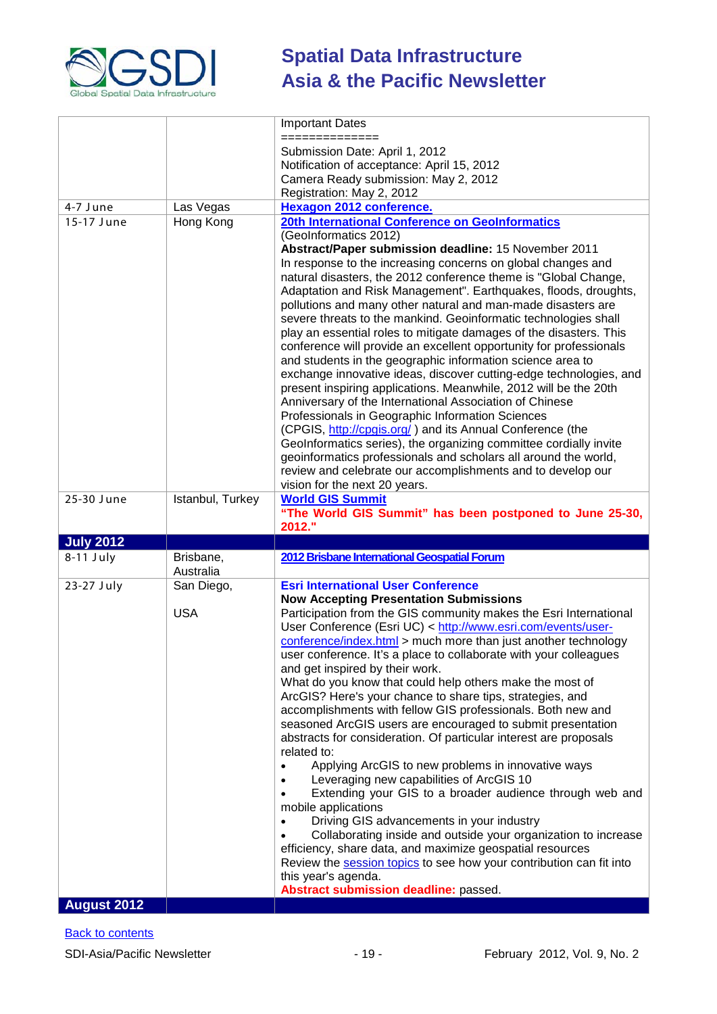

|                    |                  | <b>Important Dates</b>                                                                                                      |
|--------------------|------------------|-----------------------------------------------------------------------------------------------------------------------------|
|                    |                  | =========                                                                                                                   |
|                    |                  | Submission Date: April 1, 2012                                                                                              |
|                    |                  | Notification of acceptance: April 15, 2012                                                                                  |
|                    |                  | Camera Ready submission: May 2, 2012                                                                                        |
|                    |                  | Registration: May 2, 2012                                                                                                   |
| 4-7 June           | Las Vegas        | Hexagon 2012 conference.                                                                                                    |
| 15-17 June         | Hong Kong        | 20th International Conference on GeoInformatics                                                                             |
|                    |                  | (GeoInformatics 2012)                                                                                                       |
|                    |                  | Abstract/Paper submission deadline: 15 November 2011                                                                        |
|                    |                  | In response to the increasing concerns on global changes and                                                                |
|                    |                  | natural disasters, the 2012 conference theme is "Global Change,                                                             |
|                    |                  | Adaptation and Risk Management". Earthquakes, floods, droughts,                                                             |
|                    |                  | pollutions and many other natural and man-made disasters are                                                                |
|                    |                  | severe threats to the mankind. Geoinformatic technologies shall                                                             |
|                    |                  | play an essential roles to mitigate damages of the disasters. This                                                          |
|                    |                  | conference will provide an excellent opportunity for professionals                                                          |
|                    |                  | and students in the geographic information science area to                                                                  |
|                    |                  | exchange innovative ideas, discover cutting-edge technologies, and                                                          |
|                    |                  | present inspiring applications. Meanwhile, 2012 will be the 20th<br>Anniversary of the International Association of Chinese |
|                    |                  | Professionals in Geographic Information Sciences                                                                            |
|                    |                  | (CPGIS, http://cpgis.org/) and its Annual Conference (the                                                                   |
|                    |                  | GeoInformatics series), the organizing committee cordially invite                                                           |
|                    |                  | geoinformatics professionals and scholars all around the world,                                                             |
|                    |                  | review and celebrate our accomplishments and to develop our                                                                 |
|                    |                  | vision for the next 20 years.                                                                                               |
| 25-30 June         | Istanbul, Turkey | <b>World GIS Summit</b>                                                                                                     |
|                    |                  | "The World GIS Summit" has been postponed to June 25-30,                                                                    |
|                    |                  |                                                                                                                             |
|                    |                  | 2012."                                                                                                                      |
| <b>July 2012</b>   |                  |                                                                                                                             |
| $8-11$ July        | Brisbane,        | 2012 Brisbane International Geospatial Forum                                                                                |
|                    | Australia        |                                                                                                                             |
| 23-27 July         | San Diego,       | <b>Esri International User Conference</b>                                                                                   |
|                    |                  | <b>Now Accepting Presentation Submissions</b>                                                                               |
|                    | <b>USA</b>       | Participation from the GIS community makes the Esri International                                                           |
|                    |                  | User Conference (Esri UC) < http://www.esri.com/events/user-                                                                |
|                    |                  | conference/index.html > much more than just another technology                                                              |
|                    |                  | user conference. It's a place to collaborate with your colleagues                                                           |
|                    |                  | and get inspired by their work.                                                                                             |
|                    |                  | What do you know that could help others make the most of                                                                    |
|                    |                  | ArcGIS? Here's your chance to share tips, strategies, and                                                                   |
|                    |                  | accomplishments with fellow GIS professionals. Both new and                                                                 |
|                    |                  | seasoned ArcGIS users are encouraged to submit presentation                                                                 |
|                    |                  | abstracts for consideration. Of particular interest are proposals                                                           |
|                    |                  | related to:                                                                                                                 |
|                    |                  | Applying ArcGIS to new problems in innovative ways<br>Leveraging new capabilities of ArcGIS 10                              |
|                    |                  | Extending your GIS to a broader audience through web and                                                                    |
|                    |                  | mobile applications                                                                                                         |
|                    |                  | Driving GIS advancements in your industry                                                                                   |
|                    |                  | Collaborating inside and outside your organization to increase                                                              |
|                    |                  | efficiency, share data, and maximize geospatial resources                                                                   |
|                    |                  | Review the session topics to see how your contribution can fit into                                                         |
|                    |                  | this year's agenda.                                                                                                         |
| <b>August 2012</b> |                  | Abstract submission deadline: passed.                                                                                       |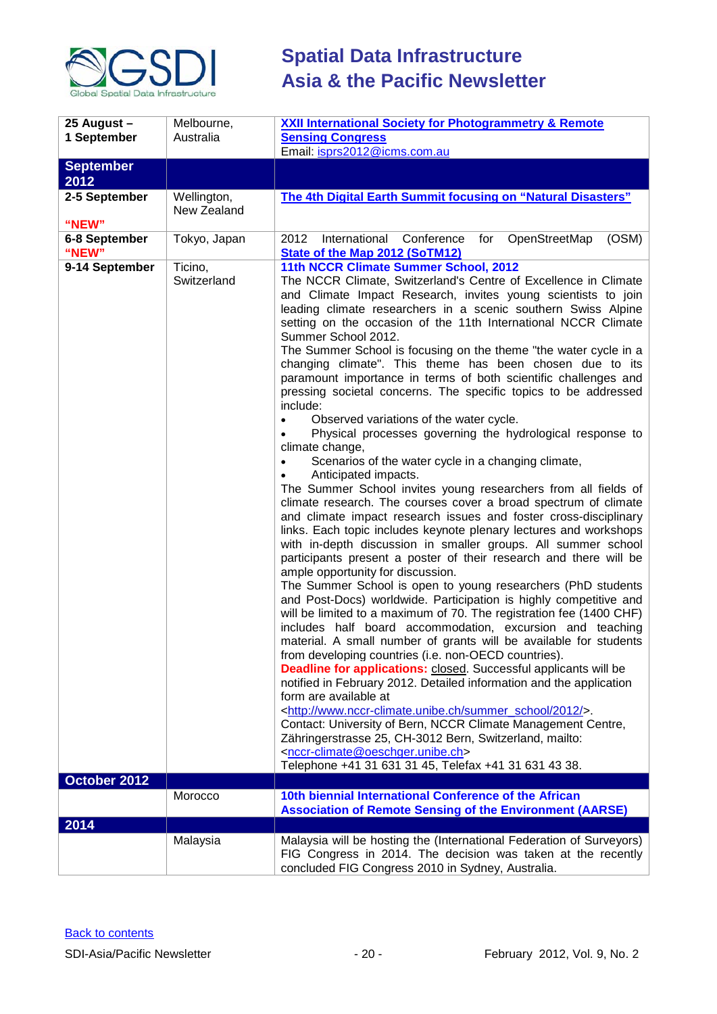

| 25 August -              | Melbourne,                 | <b>XXII International Society for Photogrammetry &amp; Remote</b>                                                                                                                                                                                                                                                                                                                                                                                                                                                                                                                                                                                                                                                                                                                                                                                                                                                                                                                                                                                                                                                                                                                                                                                                                                                                                                                                                                                                                                                                                                                                                                                                                                                                                                                                                                                                                                                                                                                                                                                                                                                                                                                                              |
|--------------------------|----------------------------|----------------------------------------------------------------------------------------------------------------------------------------------------------------------------------------------------------------------------------------------------------------------------------------------------------------------------------------------------------------------------------------------------------------------------------------------------------------------------------------------------------------------------------------------------------------------------------------------------------------------------------------------------------------------------------------------------------------------------------------------------------------------------------------------------------------------------------------------------------------------------------------------------------------------------------------------------------------------------------------------------------------------------------------------------------------------------------------------------------------------------------------------------------------------------------------------------------------------------------------------------------------------------------------------------------------------------------------------------------------------------------------------------------------------------------------------------------------------------------------------------------------------------------------------------------------------------------------------------------------------------------------------------------------------------------------------------------------------------------------------------------------------------------------------------------------------------------------------------------------------------------------------------------------------------------------------------------------------------------------------------------------------------------------------------------------------------------------------------------------------------------------------------------------------------------------------------------------|
| 1 September              | Australia                  | <b>Sensing Congress</b><br>Email: isprs2012@icms.com.au                                                                                                                                                                                                                                                                                                                                                                                                                                                                                                                                                                                                                                                                                                                                                                                                                                                                                                                                                                                                                                                                                                                                                                                                                                                                                                                                                                                                                                                                                                                                                                                                                                                                                                                                                                                                                                                                                                                                                                                                                                                                                                                                                        |
| <b>September</b><br>2012 |                            |                                                                                                                                                                                                                                                                                                                                                                                                                                                                                                                                                                                                                                                                                                                                                                                                                                                                                                                                                                                                                                                                                                                                                                                                                                                                                                                                                                                                                                                                                                                                                                                                                                                                                                                                                                                                                                                                                                                                                                                                                                                                                                                                                                                                                |
| 2-5 September<br>"NEW"   | Wellington,<br>New Zealand | The 4th Digital Earth Summit focusing on "Natural Disasters"                                                                                                                                                                                                                                                                                                                                                                                                                                                                                                                                                                                                                                                                                                                                                                                                                                                                                                                                                                                                                                                                                                                                                                                                                                                                                                                                                                                                                                                                                                                                                                                                                                                                                                                                                                                                                                                                                                                                                                                                                                                                                                                                                   |
| 6-8 September<br>"NEW"   | Tokyo, Japan               | 2012<br>International Conference for<br>OpenStreetMap<br>(OSM)<br><b>State of the Map 2012 (SoTM12)</b>                                                                                                                                                                                                                                                                                                                                                                                                                                                                                                                                                                                                                                                                                                                                                                                                                                                                                                                                                                                                                                                                                                                                                                                                                                                                                                                                                                                                                                                                                                                                                                                                                                                                                                                                                                                                                                                                                                                                                                                                                                                                                                        |
| 9-14 September           | Ticino,<br>Switzerland     | 11th NCCR Climate Summer School, 2012<br>The NCCR Climate, Switzerland's Centre of Excellence in Climate<br>and Climate Impact Research, invites young scientists to join<br>leading climate researchers in a scenic southern Swiss Alpine<br>setting on the occasion of the 11th International NCCR Climate<br>Summer School 2012.<br>The Summer School is focusing on the theme "the water cycle in a<br>changing climate". This theme has been chosen due to its<br>paramount importance in terms of both scientific challenges and<br>pressing societal concerns. The specific topics to be addressed<br>include:<br>Observed variations of the water cycle.<br>Physical processes governing the hydrological response to<br>climate change,<br>Scenarios of the water cycle in a changing climate,<br>Anticipated impacts.<br>The Summer School invites young researchers from all fields of<br>climate research. The courses cover a broad spectrum of climate<br>and climate impact research issues and foster cross-disciplinary<br>links. Each topic includes keynote plenary lectures and workshops<br>with in-depth discussion in smaller groups. All summer school<br>participants present a poster of their research and there will be<br>ample opportunity for discussion.<br>The Summer School is open to young researchers (PhD students<br>and Post-Docs) worldwide. Participation is highly competitive and<br>will be limited to a maximum of 70. The registration fee (1400 CHF)<br>includes half board accommodation, excursion and teaching<br>material. A small number of grants will be available for students<br>from developing countries (i.e. non-OECD countries).<br><b>Deadline for applications:</b> closed. Successful applicants will be<br>notified in February 2012. Detailed information and the application<br>form are available at<br><http: 2012="" summer_school="" www.nccr-climate.unibe.ch=""></http:> .<br>Contact: University of Bern, NCCR Climate Management Centre,<br>Zähringerstrasse 25, CH-3012 Bern, Switzerland, mailto:<br><nccr-climate@oeschger.unibe.ch><br/>Telephone +41 31 631 31 45, Telefax +41 31 631 43 38.</nccr-climate@oeschger.unibe.ch> |
| October 2012             |                            |                                                                                                                                                                                                                                                                                                                                                                                                                                                                                                                                                                                                                                                                                                                                                                                                                                                                                                                                                                                                                                                                                                                                                                                                                                                                                                                                                                                                                                                                                                                                                                                                                                                                                                                                                                                                                                                                                                                                                                                                                                                                                                                                                                                                                |
|                          | Morocco                    | 10th biennial International Conference of the African<br><b>Association of Remote Sensing of the Environment (AARSE)</b>                                                                                                                                                                                                                                                                                                                                                                                                                                                                                                                                                                                                                                                                                                                                                                                                                                                                                                                                                                                                                                                                                                                                                                                                                                                                                                                                                                                                                                                                                                                                                                                                                                                                                                                                                                                                                                                                                                                                                                                                                                                                                       |
| 2014                     |                            |                                                                                                                                                                                                                                                                                                                                                                                                                                                                                                                                                                                                                                                                                                                                                                                                                                                                                                                                                                                                                                                                                                                                                                                                                                                                                                                                                                                                                                                                                                                                                                                                                                                                                                                                                                                                                                                                                                                                                                                                                                                                                                                                                                                                                |
|                          | Malaysia                   | Malaysia will be hosting the (International Federation of Surveyors)<br>FIG Congress in 2014. The decision was taken at the recently<br>concluded FIG Congress 2010 in Sydney, Australia.                                                                                                                                                                                                                                                                                                                                                                                                                                                                                                                                                                                                                                                                                                                                                                                                                                                                                                                                                                                                                                                                                                                                                                                                                                                                                                                                                                                                                                                                                                                                                                                                                                                                                                                                                                                                                                                                                                                                                                                                                      |